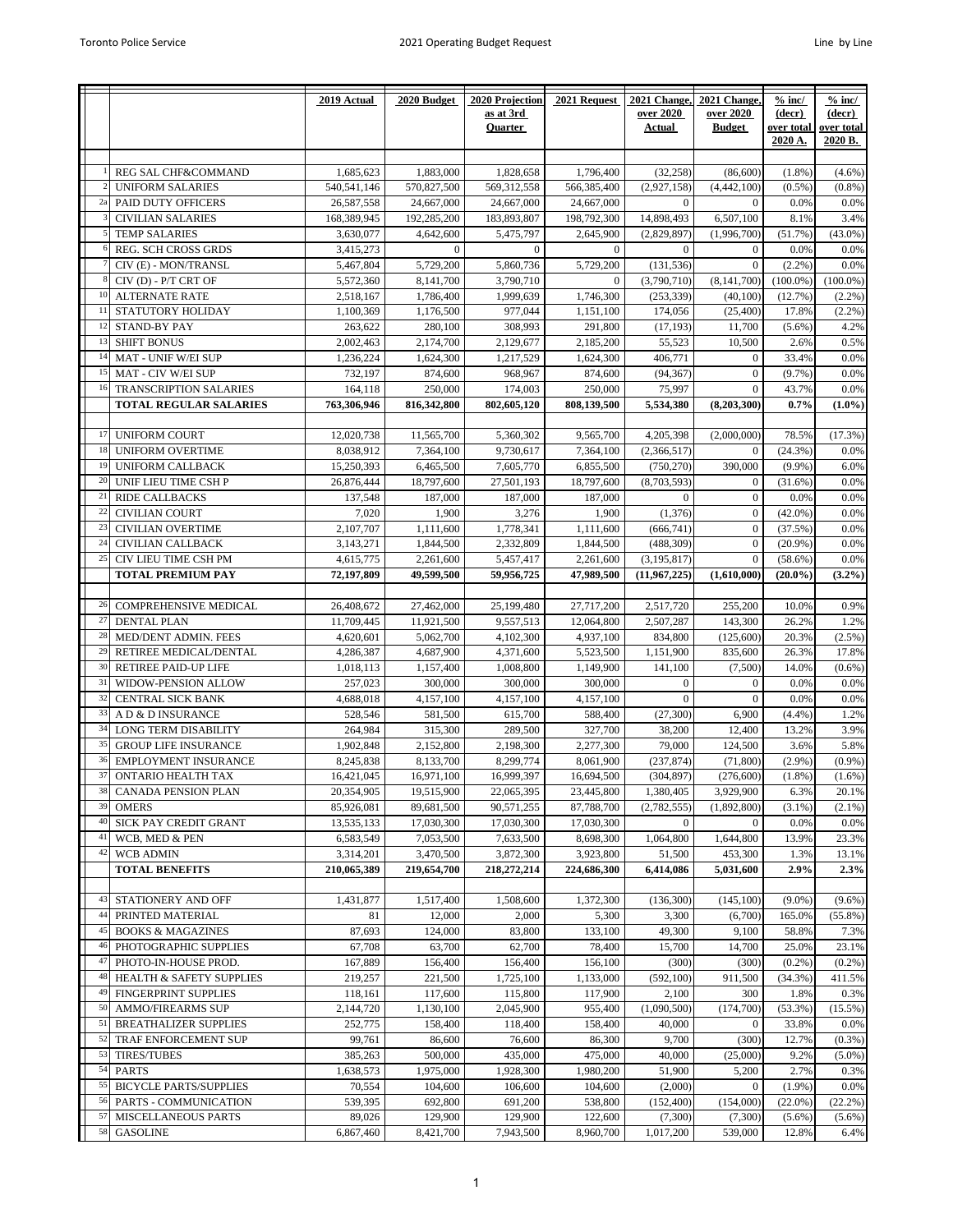|    |                               | 2019 Actual | 2020 Budget  | 2020 Projection | 2021 Request     | 2021 Change,     | 2021 Change.     | $%$ inc/    | $%$ inc/    |
|----|-------------------------------|-------------|--------------|-----------------|------------------|------------------|------------------|-------------|-------------|
|    |                               |             |              | as at 3rd       |                  | over 2020        | over 2020        | (decr)      | (decr)      |
|    |                               |             |              | <b>Quarter</b>  |                  | Actual           | <b>Budget</b>    | over total  | over total  |
|    |                               |             |              |                 |                  |                  |                  | 2020 A.     | 2020 B.     |
|    |                               |             |              |                 |                  |                  |                  |             |             |
|    | REG SAL CHF&COMMAND           | 1,685,623   | 1,883,000    | 1,828,658       | 1,796,400        | (32, 258)        | (86, 600)        | $(1.8\%)$   | $(4.6\%)$   |
|    | <b>UNIFORM SALARIES</b>       | 540,541,146 | 570,827,500  | 569,312,558     | 566,385,400      | (2,927,158)      | (4, 442, 100)    | $(0.5\%)$   | $(0.8\%)$   |
| 2a | PAID DUTY OFFICERS            | 26,587,558  | 24,667,000   | 24,667,000      | 24,667,000       | $\mathbf{0}$     | $\mathbf{0}$     | 0.0%        | 0.0%        |
|    | <b>CIVILIAN SALARIES</b>      | 168,389,945 | 192,285,200  | 183,893,807     | 198,792,300      | 14,898,493       | 6,507,100        | 8.1%        | 3.4%        |
|    | <b>TEMP SALARIES</b>          | 3,630,077   | 4,642,600    | 5,475,797       | 2,645,900        | (2,829,897)      | (1,996,700)      | (51.7%      | $(43.0\%)$  |
|    |                               |             |              |                 |                  |                  |                  |             |             |
|    | REG. SCH CROSS GRDS           | 3,415,273   | $\mathbf{0}$ | $\overline{0}$  | $\mathbf{0}$     | $\mathbf{0}$     | $\mathbf{0}$     | 0.0%        | 0.0%        |
|    | CIV (E) - MON/TRANSL          | 5,467,804   | 5,729,200    | 5,860,736       | 5,729,200        | (131, 536)       | $\mathbf{0}$     | $(2.2\%)$   | 0.0%        |
|    | CIV (D) - P/T CRT OF          | 5,572,360   | 8,141,700    | 3,790,710       | $\boldsymbol{0}$ | (3,790,710)      | (8, 141, 700)    | $(100.0\%)$ | $(100.0\%)$ |
| 10 | ALTERNATE RATE                | 2,518,167   | 1,786,400    | 1,999,639       | 1,746,300        | (253, 339)       | (40, 100)        | (12.7%)     | (2.2%)      |
| 11 | STATUTORY HOLIDAY             | 1,100,369   | 1,176,500    | 977,044         | 1,151,100        | 174,056          | (25, 400)        | 17.8%       | (2.2%)      |
| 12 | <b>STAND-BY PAY</b>           | 263,622     | 280,100      | 308,993         | 291,800          | (17, 193)        | 11,700           | $(5.6\%)$   | 4.2%        |
| 13 | <b>SHIFT BONUS</b>            | 2,002,463   | 2,174,700    | 2,129,677       | 2,185,200        | 55,523           | 10,500           | 2.6%        | 0.5%        |
| 14 | MAT - UNIF W/EI SUP           | 1,236,224   | 1,624,300    | 1,217,529       | 1,624,300        | 406,771          | $\boldsymbol{0}$ | 33.4%       | 0.0%        |
| 15 | MAT - CIV W/EI SUP            | 732,197     | 874,600      | 968,967         | 874,600          | (94, 367)        | $\boldsymbol{0}$ | (9.7%       | 0.0%        |
|    |                               |             |              |                 |                  |                  |                  |             |             |
|    | TRANSCRIPTION SALARIES        | 164,118     | 250,000      | 174,003         | 250,000          | 75,997           | $\mathbf{0}$     | 43.7%       | 0.0%        |
|    | <b>TOTAL REGULAR SALARIES</b> | 763,306,946 | 816,342,800  | 802,605,120     | 808,139,500      | 5.534.380        | (8,203,300)      | 0.7%        | $(1.0\%)$   |
|    |                               |             |              |                 |                  |                  |                  |             |             |
| 17 | <b>UNIFORM COURT</b>          | 12,020,738  | 11,565,700   | 5,360,302       | 9,565,700        | 4,205,398        | (2,000,000)      | 78.5%       | (17.3%)     |
| 18 | UNIFORM OVERTIME              | 8,038,912   | 7,364,100    | 9,730,617       | 7,364,100        | (2,366,517)      | $\mathbf{0}$     | (24.3%)     | 0.0%        |
| 19 | <b>UNIFORM CALLBACK</b>       | 15,250,393  | 6,465,500    | 7,605,770       | 6,855,500        | (750, 270)       | 390,000          | $(9.9\%)$   | 6.0%        |
| 20 | UNIF LIEU TIME CSH P          | 26,876,444  | 18,797,600   | 27,501,193      | 18,797,600       | (8,703,593)      | $\mathbf{0}$     | $(31.6\%)$  | 0.0%        |
| 21 | <b>RIDE CALLBACKS</b>         | 137,548     | 187,000      | 187,000         | 187,000          | $\mathbf{0}$     | $\mathbf{0}$     | 0.0%        | 0.0%        |
| 22 | <b>CIVILIAN COURT</b>         | 7,020       | 1,900        | 3,276           | 1,900            | (1,376)          | $\boldsymbol{0}$ | $(42.0\%)$  | 0.0%        |
|    |                               |             |              |                 |                  |                  |                  |             |             |
| 23 | <b>CIVILIAN OVERTIME</b>      | 2,107,707   | 1,111,600    | 1,778,341       | 1,111,600        | (666, 741)       | $\mathbf{0}$     | (37.5%)     | 0.0%        |
| 24 | CIVILIAN CALLBACK             | 3,143,271   | 1,844,500    | 2,332,809       | 1,844,500        | (488, 309)       | $\mathbf{0}$     | (20.9%      | 0.0%        |
| 25 | CIV LIEU TIME CSH PM          | 4,615,775   | 2,261,600    | 5,457,417       | 2,261,600        | (3, 195, 817)    | $\mathbf{0}$     | $(58.6\%)$  | 0.0%        |
|    | <b>TOTAL PREMIUM PAY</b>      | 72,197,809  | 49,599,500   | 59,956,725      | 47,989,500       | (11,967,225)     | (1,610,000)      | $(20.0\%)$  | (3.2%)      |
|    |                               |             |              |                 |                  |                  |                  |             |             |
| 26 | COMPREHENSIVE MEDICAL         | 26,408,672  | 27,462,000   | 25,199,480      | 27,717,200       | 2,517,720        | 255,200          | 10.0%       | 0.9%        |
| 27 | <b>DENTAL PLAN</b>            | 11,709,445  | 11,921,500   | 9,557,513       | 12,064,800       | 2,507,287        | 143,300          | 26.2%       | 1.2%        |
| 28 | MED/DENT ADMIN. FEES          | 4,620,601   | 5,062,700    | 4,102,300       | 4,937,100        | 834,800          | (125,600)        | 20.3%       | $(2.5\%)$   |
| 29 | RETIREE MEDICAL/DENTAL        | 4,286,387   | 4,687,900    | 4,371,600       | 5,523,500        | 1,151,900        | 835,600          | 26.3%       | 17.8%       |
| 30 | <b>RETIREE PAID-UP LIFE</b>   |             |              |                 |                  |                  |                  | 14.0%       |             |
|    |                               | 1,018,113   | 1,157,400    | 1,008,800       | 1,149,900        | 141,100          | (7,500)          |             | $(0.6\%)$   |
| 31 | WIDOW-PENSION ALLOW           | 257,023     | 300,000      | 300,000         | 300,000          | $\mathbf{0}$     | $\mathbf{0}$     | 0.0%        | 0.0%        |
| 32 | CENTRAL SICK BANK             | 4,688,018   | 4,157,100    | 4,157,100       | 4,157,100        | $\boldsymbol{0}$ | $\mathbf{0}$     | 0.0%        | 0.0%        |
| 33 | A D & D INSURANCE             | 528,546     | 581,500      | 615,700         | 588,400          | (27, 300)        | 6,900            | (4.4%)      | 1.2%        |
| 34 | LONG TERM DISABILITY          | 264,984     | 315,300      | 289,500         | 327,700          | 38,200           | 12,400           | 13.2%       | 3.9%        |
| 35 | <b>GROUP LIFE INSURANCE</b>   | 1,902,848   | 2,152,800    | 2,198,300       | 2,277,300        | 79,000           | 124,500          | 3.6%        | 5.8%        |
| 36 | <b>EMPLOYMENT INSURANCE</b>   | 8,245,838   | 8.133.700    | 8,299,774       | 8,061,900        | (237.874)        | (71, 800)        | $(2.9\%)$   | (0.9% )     |
| 37 | ONTARIO HEALTH TAX            | 16,421,045  | 16,971,100   | 16,999,397      | 16,694,500       | (304, 897)       | (276, 600)       | $(1.8\%)$   | $(1.6\%)$   |
| 38 | <b>CANADA PENSION PLAN</b>    | 20,354,905  | 19,515,900   | 22,065,395      | 23,445,800       | 1,380,405        | 3,929,900        | 6.3%        | 20.1%       |
| 39 | <b>OMERS</b>                  | 85,926,081  | 89,681,500   | 90,571,255      | 87,788,700       | (2,782,555)      | (1,892,800)      | $(3.1\%)$   | $(2.1\%)$   |
| 40 | SICK PAY CREDIT GRANT         | 13,535,133  | 17,030,300   | 17,030,300      | 17,030,300       | $\bf{0}$         | $\mathbf{0}$     | 0.0%        | 0.0%        |
| 41 |                               |             |              |                 |                  |                  |                  |             |             |
|    | WCB, MED & PEN                | 6,583,549   | 7,053,500    | 7,633,500       | 8,698,300        | 1,064,800        | 1,644,800        | 13.9%       | 23.3%       |
| 42 | WCB ADMIN                     | 3,314,201   | 3,470,500    | 3,872,300       | 3,923,800        | 51,500           | 453,300          | 1.3%        | 13.1%       |
|    | <b>TOTAL BENEFITS</b>         | 210,065,389 | 219,654,700  | 218,272,214     | 224,686,300      | 6,414,086        | 5,031,600        | 2.9%        | 2.3%        |
|    |                               |             |              |                 |                  |                  |                  |             |             |
| 43 | STATIONERY AND OFF            | 1,431,877   | 1,517,400    | 1,508,600       | 1,372,300        | (136,300)        | (145, 100)       | $(9.0\%)$   | $(9.6\%)$   |
| 44 | PRINTED MATERIAL              | 81          | 12,000       | 2,000           | 5,300            | 3,300            | (6,700)          | 165.0%      | $(55.8\%)$  |
| 45 | <b>BOOKS &amp; MAGAZINES</b>  | 87,693      | 124,000      | 83,800          | 133,100          | 49,300           | 9,100            | 58.8%       | 7.3%        |
| 46 | PHOTOGRAPHIC SUPPLIES         | 67,708      | 63,700       | 62,700          | 78,400           | 15,700           | 14,700           | 25.0%       | 23.1%       |
| 47 | PHOTO-IN-HOUSE PROD.          | 167,889     | 156,400      | 156,400         | 156,100          | (300)            | (300)            | $(0.2\%)$   | $(0.2\%)$   |
| 48 | HEALTH & SAFETY SUPPLIES      | 219,257     | 221,500      | 1,725,100       | 1,133,000        | (592, 100)       | 911,500          | $(34.3\%)$  | 411.5%      |
| 49 |                               |             |              |                 |                  |                  |                  |             |             |
|    | FINGERPRINT SUPPLIES          | 118,161     | 117,600      | 115,800         | 117,900          | 2,100            | 300              | 1.8%        | 0.3%        |
| 50 | <b>AMMO/FIREARMS SUP</b>      | 2,144,720   | 1,130,100    | 2,045,900       | 955,400          | (1,090,500)      | (174, 700)       | (53.3%)     | $(15.5\%)$  |
| 51 | <b>BREATHALIZER SUPPLIES</b>  | 252,775     | 158,400      | 118,400         | 158,400          | 40,000           | $\mathbf{0}$     | 33.8%       | 0.0%        |
| 52 | TRAF ENFORCEMENT SUP          | 99,761      | 86,600       | 76,600          | 86,300           | 9,700            | (300)            | 12.7%       | $(0.3\%)$   |
| 53 | <b>TIRES/TUBES</b>            | 385,263     | 500,000      | 435,000         | 475,000          | 40,000           | (25,000)         | 9.2%        | $(5.0\%)$   |
| 54 | <b>PARTS</b>                  | 1,638,573   | 1,975,000    | 1,928,300       | 1,980,200        | 51,900           | 5,200            | 2.7%        | 0.3%        |
| 55 | <b>BICYCLE PARTS/SUPPLIES</b> | 70,554      | 104,600      | 106,600         | 104,600          | (2,000)          | $\mathbf{0}$     | $(1.9\%)$   | 0.0%        |
| 56 | PARTS - COMMUNICATION         | 539,395     | 692,800      | 691,200         | 538,800          | (152, 400)       | (154,000)        | $(22.0\%)$  | (22.2%)     |
| 57 | MISCELLANEOUS PARTS           | 89,026      | 129,900      | 129,900         | 122,600          | (7,300)          | (7,300)          | $(5.6\%)$   | $(5.6\%)$   |
| 58 | <b>GASOLINE</b>               | 6,867,460   | 8,421,700    | 7,943,500       | 8,960,700        | 1,017,200        | 539,000          | 12.8%       | 6.4%        |
|    |                               |             |              |                 |                  |                  |                  |             |             |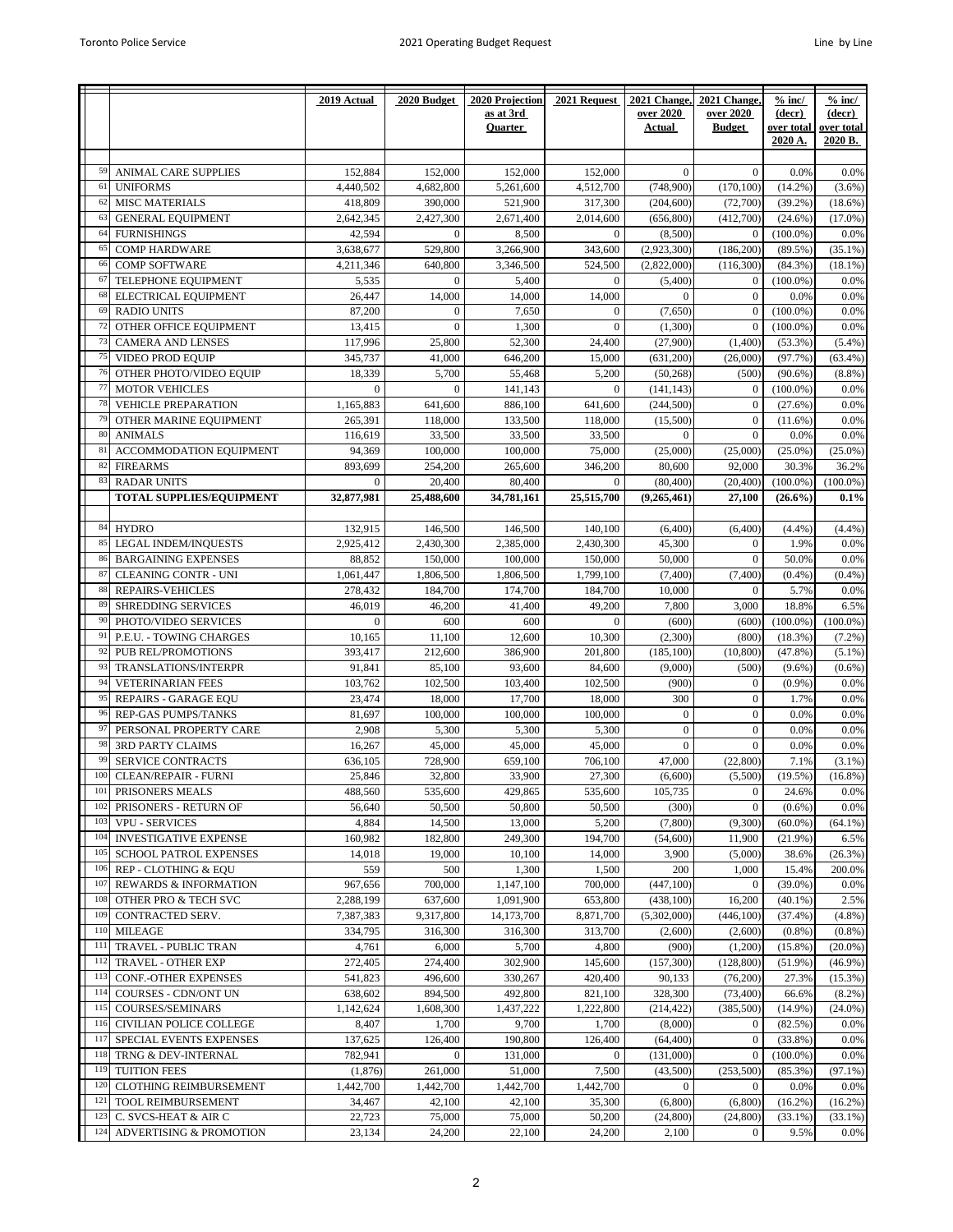|     |                                 | 2019 Actual    | 2020 Budget  | 2020 Projection | 2021 Request   | 2021 Change, | 2021 Change,   | $%$ inc/    | $%$ inc/    |
|-----|---------------------------------|----------------|--------------|-----------------|----------------|--------------|----------------|-------------|-------------|
|     |                                 |                |              | as at 3rd       |                | over 2020    | over 2020      | (decr)      | (decr)      |
|     |                                 |                |              | Quarter         |                | Actual       | <b>Budget</b>  | over total  | over total  |
|     |                                 |                |              |                 |                |              |                | 2020 A.     | 2020 B.     |
|     |                                 |                |              |                 |                |              |                |             |             |
| 59  | ANIMAL CARE SUPPLIES            | 152,884        | 152,000      | 152,000         | 152,000        | $\mathbf{0}$ | $\overline{0}$ | 0.0%        | 0.0%        |
| 61  | <b>UNIFORMS</b>                 | 4,440,502      | 4,682,800    | 5,261,600       | 4,512,700      | (748,900)    | (170, 100)     | $(14.2\%)$  | $(3.6\%)$   |
| 62  | <b>MISC MATERIALS</b>           | 418,809        | 390,000      | 521,900         | 317,300        | (204, 600)   | (72,700)       | (39.2%)     | $(18.6\%)$  |
|     |                                 |                |              |                 |                |              |                |             |             |
| 63  | <b>GENERAL EQUIPMENT</b>        | 2,642,345      | 2,427,300    | 2,671,400       | 2,014,600      | (656, 800)   | (412,700)      | $(24.6\%)$  | $(17.0\%)$  |
| 64  | <b>FURNISHINGS</b>              | 42,594         | $\mathbf{0}$ | 8,500           | $\mathbf{0}$   | (8,500)      | $\mathbf{0}$   | $(100.0\%)$ | 0.0%        |
| 65  | <b>COMP HARDWARE</b>            | 3,638,677      | 529,800      | 3,266,900       | 343,600        | (2,923,300)  | (186, 200)     | $(89.5\%)$  | $(35.1\%)$  |
| 66  | <b>COMP SOFTWARE</b>            | 4,211,346      | 640,800      | 3,346,500       | 524,500        | (2,822,000)  | (116,300)      | $(84.3\%)$  | $(18.1\%)$  |
| 67  | TELEPHONE EQUIPMENT             | 5,535          | $\Omega$     | 5,400           | $\mathbf{0}$   | (5,400)      | $\mathbf{0}$   | $(100.0\%)$ | 0.0%        |
| 68  | ELECTRICAL EQUIPMENT            | 26,447         | 14,000       | 14,000          | 14,000         | $\Omega$     | $\mathbf{0}$   | 0.0%        | 0.0%        |
| 69  | <b>RADIO UNITS</b>              | 87,200         | $\mathbf{0}$ | 7,650           | $\overline{0}$ | (7,650)      | $\overline{0}$ | $(100.0\%)$ | 0.0%        |
| 72  |                                 |                |              |                 |                |              |                |             |             |
|     | OTHER OFFICE EQUIPMENT          | 13,415         | $\Omega$     | 1,300           | $\mathbf{0}$   | (1,300)      | $\mathbf{0}$   | $(100.0\%)$ | 0.0%        |
| 73  | CAMERA AND LENSES               | 117,996        | 25,800       | 52,300          | 24,400         | (27,900)     | (1,400)        | (53.3%)     | $(5.4\%)$   |
| 75  | VIDEO PROD EQUIP                | 345,737        | 41,000       | 646,200         | 15,000         | (631,200)    | (26,000)       | (97.7%)     | (63.4%)     |
| 76  | OTHER PHOTO/VIDEO EQUIP         | 18,339         | 5,700        | 55,468          | 5,200          | (50, 268)    | (500)          | $(90.6\%)$  | (8.8%)      |
| 77  | <b>MOTOR VEHICLES</b>           | $\Omega$       | $\mathbf{0}$ | 141.143         | $\Omega$       | (141, 143)   | $\overline{0}$ | $(100.0\%)$ | 0.0%        |
| 78  | <b>VEHICLE PREPARATION</b>      | 1,165,883      | 641,600      | 886,100         | 641.600        | (244, 500)   | $\overline{0}$ | $(27.6\%)$  | 0.0%        |
| 79  | OTHER MARINE EQUIPMENT          |                |              |                 |                |              | $\mathbf{0}$   |             | 0.0%        |
|     |                                 | 265,391        | 118,000      | 133,500         | 118,000        | (15,500)     |                | $(11.6\%)$  |             |
| 80  | <b>ANIMALS</b>                  | 116,619        | 33,500       | 33,500          | 33,500         | $\mathbf{0}$ | $\Omega$       | 0.0%        | 0.0%        |
| 81  | ACCOMMODATION EQUIPMENT         | 94,369         | 100,000      | 100,000         | 75,000         | (25,000)     | (25,000)       | $(25.0\%)$  | $(25.0\%)$  |
| 82  | <b>FIREARMS</b>                 | 893,699        | 254,200      | 265,600         | 346,200        | 80,600       | 92,000         | 30.3%       | 36.2%       |
| 83  | <b>RADAR UNITS</b>              | $\overline{0}$ | 20,400       | 80,400          | $\Omega$       | (80, 400)    | (20, 400)      | $(100.0\%)$ | $(100.0\%)$ |
|     | <b>TOTAL SUPPLIES/EQUIPMENT</b> | 32,877,981     | 25.488,600   | 34,781,161      | 25.515.700     | (9,265,461)  | 27,100         | $(26.6\%)$  | 0.1%        |
|     |                                 |                |              |                 |                |              |                |             |             |
| 84  | <b>HYDRO</b>                    | 132,915        | 146,500      | 146,500         | 140,100        | (6,400)      | (6,400)        | (4.4%       | (4.4%)      |
| 85  |                                 |                |              |                 |                |              |                |             |             |
|     | <b>LEGAL INDEM/INQUESTS</b>     | 2,925,412      | 2,430,300    | 2,385,000       | 2,430,300      | 45,300       | $\overline{0}$ | 1.9%        | 0.0%        |
| 86  | <b>BARGAINING EXPENSES</b>      | 88,852         | 150,000      | 100,000         | 150,000        | 50,000       | $\overline{0}$ | 50.0%       | 0.0%        |
| 87  | <b>CLEANING CONTR - UNI</b>     | 1,061,447      | 1,806,500    | 1,806,500       | 1,799,100      | (7, 400)     | (7, 400)       | (0.4% )     | (0.4%       |
| 88  | REPAIRS-VEHICLES                | 278,432        | 184,700      | 174,700         | 184,700        | 10,000       | $\overline{0}$ | 5.7%        | 0.0%        |
| 89  | <b>SHREDDING SERVICES</b>       | 46,019         | 46,200       | 41,400          | 49,200         | 7,800        | 3,000          | 18.8%       | 6.5%        |
| 90  | PHOTO/VIDEO SERVICES            | $\overline{0}$ | 600          | 600             | $\mathbf{0}$   | (600)        | (600)          | $(100.0\%)$ | $(100.0\%)$ |
| 91  | P.E.U. - TOWING CHARGES         | 10,165         | 11,100       | 12,600          | 10,300         | (2,300)      | (800)          | $(18.3\%)$  | (7.2%)      |
| 92  |                                 |                |              |                 |                |              |                |             |             |
|     | <b>PUB REL/PROMOTIONS</b>       | 393,417        | 212,600      | 386,900         | 201,800        | (185, 100)   | (10, 800)      | (47.8%      | $(5.1\%)$   |
| 93  | TRANSLATIONS/INTERPR            | 91,841         | 85,100       | 93,600          | 84,600         | (9,000)      | (500)          | $(9.6\%)$   | $(0.6\%)$   |
| 94  | <b>VETERINARIAN FEES</b>        | 103,762        | 102,500      | 103,400         | 102,500        | (900)        | $\overline{0}$ | (0.9%       | 0.0%        |
| 95  | REPAIRS - GARAGE EQU            | 23,474         | 18,000       | 17,700          | 18,000         | 300          | $\overline{0}$ | 1.7%        | 0.0%        |
| 96  | REP-GAS PUMPS/TANKS             | 81,697         | 100,000      | 100,000         | 100,000        | $\mathbf{0}$ | $\overline{0}$ | 0.0%        | 0.0%        |
| 97  | PERSONAL PROPERTY CARE          | 2,908          | 5,300        | 5,300           | 5,300          | $\mathbf{0}$ | $\overline{0}$ | 0.0%        | 0.0%        |
| 98  | <b>3RD PARTY CLAIMS</b>         | 16,267         | 45,000       | 45,000          | 45,000         | $\mathbf{0}$ | $\mathbf{0}$   | 0.0%        | 0.0%        |
|     |                                 |                |              |                 |                |              |                |             |             |
| 99  | <b>SERVICE CONTRACTS</b>        | 636,105        | 728,900      | 659,100         | 706,100        | 47,000       | (22, 800)      | 7.1%        | $(3.1\%)$   |
| 100 | CLEAN/REPAIR - FURNI            | 25,846         | 32,800       | 33,900          | 27,300         | (6,600)      | (5,500)        | (19.5%)     | $(16.8\%)$  |
| 101 | PRISONERS MEALS                 | 488,560        | 535,600      | 429,865         | 535,600        | 105,735      | $\mathbf{0}$   | 24.6%       | 0.0%        |
| 102 | PRISONERS - RETURN OF           | 56,640         | 50,500       | 50,800          | 50,500         | (300)        | $\overline{0}$ | $(0.6\%)$   | 0.0%        |
| 103 | <b>VPU - SERVICES</b>           | 4,884          | 14,500       | 13,000          | 5,200          | (7,800)      | (9,300)        | $(60.0\%)$  | $(64.1\%)$  |
| 104 | INVESTIGATIVE EXPENSE           | 160,982        | 182,800      | 249,300         | 194,700        | (54, 600)    | 11,900         | (21.9%)     | 6.5%        |
| 105 | SCHOOL PATROL EXPENSES          | 14,018         | 19,000       | 10,100          | 14,000         | 3,900        | (5,000)        |             |             |
|     |                                 |                |              |                 |                |              |                | 38.6%       | $(26.3\%)$  |
| 106 | REP - CLOTHING & EQU            | 559            | 500          | 1,300           | 1,500          | 200          | 1,000          | 15.4%       | 200.0%      |
| 107 | REWARDS & INFORMATION           | 967,656        | 700,000      | 1,147,100       | 700,000        | (447, 100)   | $\mathbf{0}$   | $(39.0\%)$  | 0.0%        |
| 108 | OTHER PRO & TECH SVC            | 2,288,199      | 637,600      | 1,091,900       | 653,800        | (438, 100)   | 16,200         | $(40.1\%)$  | 2.5%        |
| 109 | CONTRACTED SERV.                | 7,387,383      | 9,317,800    | 14,173,700      | 8,871,700      | (5,302,000)  | (446, 100)     | (37.4%)     | (4.8%       |
| 110 | <b>MILEAGE</b>                  | 334,795        | 316,300      | 316,300         | 313,700        | (2,600)      | (2,600)        | (0.8% )     | $(0.8\%)$   |
| 111 | TRAVEL - PUBLIC TRAN            | 4,761          | 6,000        | 5,700           | 4,800          | (900)        | (1,200)        | $(15.8\%)$  | $(20.0\%)$  |
| 112 | TRAVEL - OTHER EXP              | 272,405        | 274,400      | 302,900         | 145,600        | (157,300)    | (128, 800)     | $(51.9\%)$  | (46.9%      |
|     |                                 |                |              |                 |                |              |                |             |             |
| 113 | CONF.-OTHER EXPENSES            | 541,823        | 496,600      | 330,267         | 420,400        | 90,133       | (76,200)       | 27.3%       | $(15.3\%)$  |
| 114 | COURSES - CDN/ONT UN            | 638,602        | 894,500      | 492,800         | 821,100        | 328,300      | (73, 400)      | 66.6%       | $(8.2\%)$   |
| 115 | COURSES/SEMINARS                | 1,142,624      | 1,608,300    | 1,437,222       | 1,222,800      | (214, 422)   | (385, 500)     | $(14.9\%)$  | (24.0%      |
| 116 | CIVILIAN POLICE COLLEGE         | 8,407          | 1,700        | 9,700           | 1,700          | (8,000)      | $\overline{0}$ | (82.5%)     | 0.0%        |
| 117 | SPECIAL EVENTS EXPENSES         | 137,625        | 126,400      | 190,800         | 126,400        | (64, 400)    | $\overline{0}$ | (33.8%)     | 0.0%        |
| 118 | TRNG & DEV-INTERNAL             | 782,941        | $\mathbf{0}$ | 131,000         | $\mathbf{0}$   | (131,000)    | $\mathbf{0}$   | $(100.0\%)$ | 0.0%        |
| 119 | <b>TUITION FEES</b>             | (1, 876)       | 261,000      | 51,000          | 7,500          | (43,500)     | (253,500)      | $(85.3\%)$  | $(97.1\%)$  |
| 120 |                                 |                |              |                 |                |              |                |             |             |
|     | CLOTHING REIMBURSEMENT          | 1,442,700      | 1,442,700    | 1,442,700       | 1,442,700      | $\mathbf{0}$ | $\overline{0}$ | 0.0%        | 0.0%        |
| 121 | TOOL REIMBURSEMENT              | 34,467         | 42,100       | 42,100          | 35,300         | (6,800)      | (6,800)        | $(16.2\%)$  | $(16.2\%)$  |
| 123 | C. SVCS-HEAT & AIR C            | 22,723         | 75,000       | 75,000          | 50,200         | (24, 800)    | (24, 800)      | $(33.1\%)$  | $(33.1\%)$  |
| 124 | ADVERTISING & PROMOTION         | 23,134         | 24,200       | 22,100          | 24,200         | 2,100        | $\mathbf{0}$   | 9.5%        | 0.0%        |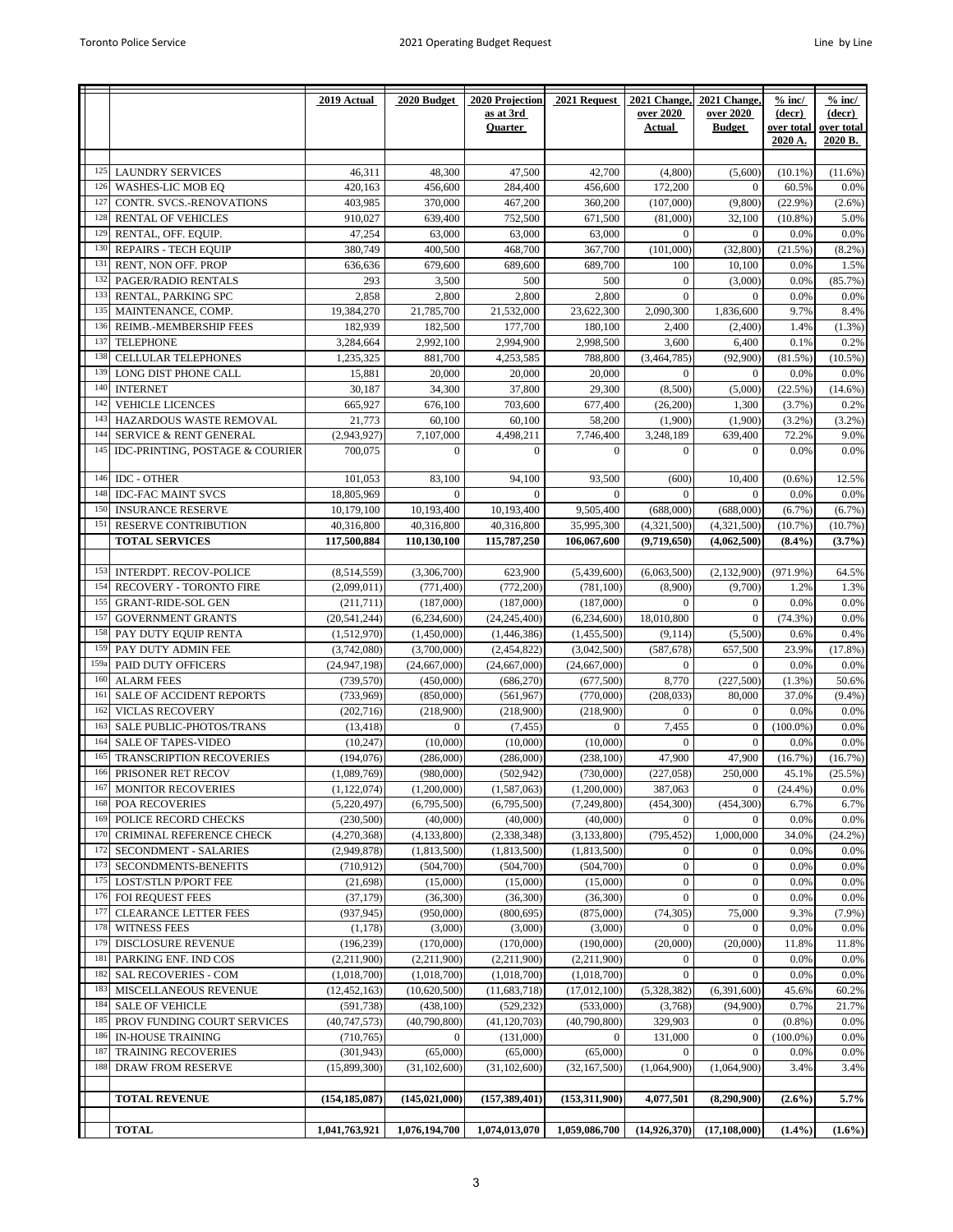| as at 3rd<br>over 2020<br>over 2020<br>(decr)<br>(decr)<br>over total<br><b>Quarter</b><br>Actual<br><b>Budget</b><br>over total<br>2020 A.<br>2020 B.<br><b>LAUNDRY SERVICES</b><br>47,500<br>46,311<br>48,300<br>42,700<br>(4,800)<br>(5,600)<br>$(10.1\%)$<br>$(11.6\%)$<br>125<br>126<br>WASHES-LIC MOB EQ<br>420.163<br>456,600<br>284,400<br>456,600<br>172,200<br>$\mathbf{0}$<br>60.5%<br>0.0%<br>127<br>403,985<br>370,000<br>CONTR. SVCS.-RENOVATIONS<br>467,200<br>360,200<br>(107,000)<br>(9,800)<br>$(22.9\%)$<br>$(2.6\%)$<br>128<br><b>RENTAL OF VEHICLES</b><br>910,027<br>639,400<br>752,500<br>671,500<br>(81,000)<br>32,100<br>$(10.8\%)$<br>5.0%<br>129<br>RENTAL, OFF. EQUIP.<br>47,254<br>0.0%<br>63,000<br>63,000<br>63,000<br>$\mathbf{0}$<br>$\mathbf{0}$<br>0.0%<br>130<br><b>REPAIRS - TECH EQUIP</b><br>380,749<br>400,500<br>468,700<br>367,700<br>(101,000)<br>(32, 800)<br>(21.5%)<br>$(8.2\%)$<br>131<br>RENT, NON OFF. PROP<br>636,636<br>679,600<br>689,600<br>689,700<br>100<br>10,100<br>0.0%<br>1.5%<br>PAGER/RADIO RENTALS<br>132<br>293<br>3,500<br>500<br>500<br>$\mathbf{0}$<br>(3,000)<br>0.0%<br>(85.7%)<br>133<br>$\theta$<br>RENTAL, PARKING SPC<br>2,858<br>2,800<br>2,800<br>2,800<br>$\mathbf{0}$<br>0.0%<br>0.0%<br>135<br>19,384,270<br>21,785,700<br>21,532,000<br>23,622,300<br>2,090,300<br>1,836,600<br>MAINTENANCE, COMP.<br>9.7%<br>8.4%<br>REIMB.-MEMBERSHIP FEES<br>182,939<br>182,500<br>177,700<br>$(1.3\%)$<br>136<br>180,100<br>2,400<br>1.4%<br>(2,400)<br>137<br><b>TELEPHONE</b><br>3,284,664<br>2,992,100<br>2,994,900<br>2,998,500<br>3,600<br>6,400<br>0.1%<br>0.2%<br>CELLULAR TELEPHONES<br>1,235,325<br>881,700<br>4,253,585<br>788,800<br>(3,464,785)<br>(92,900)<br>(81.5%)<br>138<br>$(10.5\%)$<br>139<br>LONG DIST PHONE CALL<br>20,000<br>15,881<br>20,000<br>20,000<br>$\boldsymbol{0}$<br>$\mathbf{0}$<br>0.0%<br>0.0%<br>140<br><b>INTERNET</b><br>30,187<br>34,300<br>37,800<br>29,300<br>(8,500)<br>(5,000)<br>(22.5%)<br>$(14.6\%)$<br>142<br><b>VEHICLE LICENCES</b><br>665,927<br>676,100<br>703,600<br>677,400<br>(26, 200)<br>1,300<br>0.2%<br>(3.7%)<br>143<br>HAZARDOUS WASTE REMOVAL<br>60.100<br>(1,900)<br>21,773<br>60,100<br>58,200<br>(1,900)<br>(3.2%)<br>$(3.2\%)$<br>144<br>SERVICE & RENT GENERAL<br>(2,943,927)<br>7,107,000<br>4,498,211<br>7,746,400<br>3,248,189<br>639,400<br>9.0%<br>72.2%<br>IDC-PRINTING, POSTAGE & COURIER<br>700,075<br>145<br>$\mathbf{0}$<br>$\mathbf{0}$<br>$\mathbf{0}$<br>0.0%<br>0.0%<br>$\overline{0}$<br>$\mathbf{0}$<br>146<br><b>IDC - OTHER</b><br>101.053<br>83,100<br>94,100<br>93,500<br>12.5%<br>(600)<br>10,400<br>$(0.6\%)$<br>0.0%<br>148<br><b>IDC-FAC MAINT SVCS</b><br>18,805,969<br>$\Omega$<br>$\mathbf{0}$<br>$\mathbf{0}$<br>$\mathbf{0}$<br>$\mathbf{0}$<br>0.0%<br>150<br><b>INSURANCE RESERVE</b><br>10,179,100<br>10,193,400<br>10,193,400<br>9,505,400<br>(688,000)<br>(688,000)<br>$(6.7\%)$<br>(6.7%)<br>RESERVE CONTRIBUTION<br>40,316,800<br>151<br>40,316,800<br>40,316,800<br>35,995,300<br>(4,321,500)<br>(4,321,500)<br>(10.7%<br>(10.7%)<br><b>TOTAL SERVICES</b><br>117,500,884<br>110,130,100<br>115,787,250<br>106,067,600<br>(9,719,650)<br>(4,062,500)<br>$(8.4\%)$<br>$(3.7\%)$<br>153<br><b>INTERDPT. RECOV-POLICE</b><br>64.5%<br>(8,514,559)<br>(3,306,700)<br>623,900<br>(5,439,600)<br>(6,063,500)<br>(2,132,900)<br>$(971.9\%)$<br>154<br>RECOVERY - TORONTO FIRE<br>(2,099,011)<br>(771, 400)<br>(772, 200)<br>(781, 100)<br>(8,900)<br>(9,700)<br>1.2%<br>1.3%<br>0.0%<br>155<br><b>GRANT-RIDE-SOL GEN</b><br>(211,711)<br>(187,000)<br>(187,000)<br>(187,000)<br>$\mathbf{0}$<br>$\mathbf{0}$<br>0.0%<br>157<br>(20, 541, 244)<br>$(74.3\%)$<br><b>GOVERNMENT GRANTS</b><br>(6,234,600)<br>(24, 245, 400)<br>(6,234,600)<br>18,010,800<br>$\mathbf{0}$<br>0.0%<br>158<br>PAY DUTY EQUIP RENTA<br>(5,500)<br>0.6%<br>0.4%<br>(1,512,970)<br>(1,450,000)<br>(1,446,386)<br>(1,455,500)<br>(9,114)<br>159<br>PAY DUTY ADMIN FEE<br>657,500<br>23.9%<br>(3,742,080)<br>(3,700,000)<br>(2,454,822)<br>(3,042,500)<br>(587, 678)<br>(17.8%)<br>159a<br>PAID DUTY OFFICERS<br>(24, 947, 198)<br>(24, 667, 000)<br>(24, 667, 000)<br>(24, 667, 000)<br>$\mathbf{0}$<br>$\mathbf{0}$<br>0.0%<br>0.0%<br>160<br><b>ALARM FEES</b><br>8,770<br>(227,500)<br>50.6%<br>(739, 570)<br>(450,000)<br>(686, 270)<br>(677, 500)<br>$(1.3\%)$<br>161<br>(733, 969)<br>80,000<br>SALE OF ACCIDENT REPORTS<br>(850,000)<br>(561, 967)<br>(770,000)<br>(208, 033)<br>37.0%<br>$(9.4\%)$<br><b>VICLAS RECOVERY</b><br>(202, 716)<br>(218,900)<br>162<br>(218,900)<br>(218,900)<br>$\mathbf{0}$<br>$\mathbf{0}$<br>0.0%<br>0.0%<br>163<br>7,455<br>SALE PUBLIC-PHOTOS/TRANS<br>$(100.0\%)$<br>0.0%<br>(13, 418)<br>$\mathbf{0}$<br>(7, 455)<br>$\boldsymbol{0}$<br>$\boldsymbol{0}$<br><b>SALE OF TAPES-VIDEO</b><br>(10,000)<br>(10,000)<br>$\Omega$<br>0.0%<br>0.0%<br>164<br>(10, 247)<br>(10,000)<br>$\Omega$<br>16 <sup>5</sup><br>TRANSCRIPTION RECOVERIES<br>47,900<br>(194, 076)<br>(286,000)<br>(286,000)<br>(238, 100)<br>47,900<br>(16.7%)<br>(16.7%)<br>PRISONER RET RECOV<br>(980,000)<br>(502, 942)<br>(730,000)<br>(227, 058)<br>250,000<br>45.1%<br>166<br>(1,089,769)<br>$(25.5\%)$<br>167<br><b>MONITOR RECOVERIES</b><br>(1, 122, 074)<br>(1,200,000)<br>(1,587,063)<br>(1,200,000)<br>387,063<br>(24.4%)<br>0.0%<br>$\theta$<br>168<br>POA RECOVERIES<br>(5,220,497)<br>(6,795,500)<br>(6,795,500)<br>(7,249,800)<br>(454, 300)<br>(454, 300)<br>6.7%<br>6.7%<br>POLICE RECORD CHECKS<br>0.0%<br>169<br>(230, 500)<br>(40,000)<br>(40,000)<br>(40,000)<br>$\boldsymbol{0}$<br>$\mathbf{0}$<br>0.0%<br>170<br>CRIMINAL REFERENCE CHECK<br>1,000,000<br>(4,270,368)<br>(4, 133, 800)<br>(2,338,348)<br>(3, 133, 800)<br>(795, 452)<br>34.0%<br>(24.2%)<br>172<br>SECONDMENT - SALARIES<br>(2,949,878)<br>(1,813,500)<br>(1,813,500)<br>0.0%<br>(1,813,500)<br>$\boldsymbol{0}$<br>$\boldsymbol{0}$<br>0.0%<br>173<br>SECONDMENTS-BENEFITS<br>$\boldsymbol{0}$<br>$\mathbf{0}$<br>(710, 912)<br>(504,700)<br>(504,700)<br>(504,700)<br>0.0%<br>0.0%<br>$\boldsymbol{0}$<br>$\mathbf{0}$<br>0.0%<br>0.0%<br>175<br><b>LOST/STLN P/PORT FEE</b><br>(21, 698)<br>(15,000)<br>(15,000)<br>(15,000)<br>176<br>FOI REQUEST FEES<br>$\mathbf{0}$<br>(37, 179)<br>(36,300)<br>(36,300)<br>(36,300)<br>$\boldsymbol{0}$<br>0.0%<br>0.0%<br>(74, 305)<br>75,000<br>9.3%<br>177<br><b>CLEARANCE LETTER FEES</b><br>(937, 945)<br>(950,000)<br>(800, 695)<br>(875,000)<br>$(7.9\%)$<br>0.0%<br>178<br><b>WITNESS FEES</b><br>(1, 178)<br>(3,000)<br>(3,000)<br>(3,000)<br>$\mathbf{0}$<br>$\mathbf{0}$<br>0.0%<br>179<br>DISCLOSURE REVENUE<br>(196, 239)<br>(170,000)<br>(170,000)<br>(190,000)<br>(20,000)<br>(20,000)<br>11.8%<br>11.8%<br>181<br>PARKING ENF. IND COS<br>(2,211,900)<br>(2,211,900)<br>(2,211,900)<br>(2,211,900)<br>$\mathbf{0}$<br>0.0%<br>0.0%<br>$\boldsymbol{0}$<br>$\mathbf{0}$<br>$\mathbf{0}$<br>0.0%<br>182<br><b>SAL RECOVERIES - COM</b><br>(1,018,700)<br>(1,018,700)<br>(1,018,700)<br>(1,018,700)<br>0.0%<br>183<br>MISCELLANEOUS REVENUE<br>(12, 452, 163)<br>(10,620,500)<br>(11,683,718)<br>(17,012,100)<br>(5,328,382)<br>(6,391,600)<br>45.6%<br>60.2%<br>184<br><b>SALE OF VEHICLE</b><br>(591, 738)<br>(438, 100)<br>(529, 232)<br>(533,000)<br>(3,768)<br>(94,900)<br>0.7%<br>21.7%<br>0.0%<br>PROV FUNDING COURT SERVICES<br>(40, 747, 573)<br>(40,790,800)<br>(41, 120, 703)<br>(40,790,800)<br>329,903<br>$\mathbf{0}$<br>$(0.8\%)$<br>185<br>186<br>IN-HOUSE TRAINING<br>(710, 765)<br>$\overline{0}$<br>(131,000)<br>$\overline{0}$<br>131,000<br>$(100.0\%)$<br>0.0%<br>$\mathbf{0}$<br>187<br><b>TRAINING RECOVERIES</b><br>(301, 943)<br>(65,000)<br>(65,000)<br>0.0%<br>0.0%<br>(65,000)<br>$\overline{0}$<br>$\overline{0}$<br>(1,064,900)<br>(1,064,900)<br>3.4%<br>3.4%<br>188<br>DRAW FROM RESERVE<br>(15,899,300)<br>(31, 102, 600)<br>(31, 102, 600)<br>(32, 167, 500)<br><b>TOTAL REVENUE</b><br>(154, 185, 087)<br>(145, 021, 000)<br>(157, 389, 401)<br>(153,311,900)<br>4,077,501<br>(8,290,900)<br>$(2.6\%)$<br>5.7%<br><b>TOTAL</b><br>1,074,013,070<br>1,041,763,921<br>1,076,194,700<br>1,059,086,700<br>(14, 926, 370)<br>(17, 108, 000)<br>$(1.4\%)$<br>$(1.6\%)$ |  | 2019 Actual | 2020 Budget | 2020 Projection | 2021 Request | 2021 Change, | 2021 Change | $%$ inc/ | $%$ inc/ |
|-----------------------------------------------------------------------------------------------------------------------------------------------------------------------------------------------------------------------------------------------------------------------------------------------------------------------------------------------------------------------------------------------------------------------------------------------------------------------------------------------------------------------------------------------------------------------------------------------------------------------------------------------------------------------------------------------------------------------------------------------------------------------------------------------------------------------------------------------------------------------------------------------------------------------------------------------------------------------------------------------------------------------------------------------------------------------------------------------------------------------------------------------------------------------------------------------------------------------------------------------------------------------------------------------------------------------------------------------------------------------------------------------------------------------------------------------------------------------------------------------------------------------------------------------------------------------------------------------------------------------------------------------------------------------------------------------------------------------------------------------------------------------------------------------------------------------------------------------------------------------------------------------------------------------------------------------------------------------------------------------------------------------------------------------------------------------------------------------------------------------------------------------------------------------------------------------------------------------------------------------------------------------------------------------------------------------------------------------------------------------------------------------------------------------------------------------------------------------------------------------------------------------------------------------------------------------------------------------------------------------------------------------------------------------------------------------------------------------------------------------------------------------------------------------------------------------------------------------------------------------------------------------------------------------------------------------------------------------------------------------------------------------------------------------------------------------------------------------------------------------------------------------------------------------------------------------------------------------------------------------------------------------------------------------------------------------------------------------------------------------------------------------------------------------------------------------------------------------------------------------------------------------------------------------------------------------------------------------------------------------------------------------------------------------------------------------------------------------------------------------------------------------------------------------------------------------------------------------------------------------------------------------------------------------------------------------------------------------------------------------------------------------------------------------------------------------------------------------------------------------------------------------------------------------------------------------------------------------------------------------------------------------------------------------------------------------------------------------------------------------------------------------------------------------------------------------------------------------------------------------------------------------------------------------------------------------------------------------------------------------------------------------------------------------------------------------------------------------------------------------------------------------------------------------------------------------------------------------------------------------------------------------------------------------------------------------------------------------------------------------------------------------------------------------------------------------------------------------------------------------------------------------------------------------------------------------------------------------------------------------------------------------------------------------------------------------------------------------------------------------------------------------------------------------------------------------------------------------------------------------------------------------------------------------------------------------------------------------------------------------------------------------------------------------------------------------------------------------------------------------------------------------------------------------------------------------------------------------------------------------------------------------------------------------------------------------------------------------------------------------------------------------------------------------------------------------------------------------------------------------------------------------------------------------------------------------------------------------------------------------------------------------------------------------------------------------------------------------------------------------------------------------------------------------------------------------------------------------------------------------------------------------------------------------------------------------------------------------------------------------------------------------------------------------------------------------------------------------------------------------------------------------------------------------------------------------------------------------------------------------------------------------------------------------------------------------------------------------------------------------------------------------------------------------------------------------------------------------------------------------------------------------------------------------------------------------------------------------------------------------------------------------------------------------------------------------------------------------------------------------------------------------------------------------------------------------------------------------------------------------------------------------------------------------------------------------------------------------------------------------------------------------------------------------------------------------------------------------------------------------------------------------------------------------------------------------------------------------------------------------------------------------------------------------------------------------------------------------------------------------------------------------------------------------------------------------------------------------------------------------------------------------------------------------------------------------------------------------------------------------------------------------------------------------------|--|-------------|-------------|-----------------|--------------|--------------|-------------|----------|----------|
|                                                                                                                                                                                                                                                                                                                                                                                                                                                                                                                                                                                                                                                                                                                                                                                                                                                                                                                                                                                                                                                                                                                                                                                                                                                                                                                                                                                                                                                                                                                                                                                                                                                                                                                                                                                                                                                                                                                                                                                                                                                                                                                                                                                                                                                                                                                                                                                                                                                                                                                                                                                                                                                                                                                                                                                                                                                                                                                                                                                                                                                                                                                                                                                                                                                                                                                                                                                                                                                                                                                                                                                                                                                                                                                                                                                                                                                                                                                                                                                                                                                                                                                                                                                                                                                                                                                                                                                                                                                                                                                                                                                                                                                                                                                                                                                                                                                                                                                                                                                                                                                                                                                                                                                                                                                                                                                                                                                                                                                                                                                                                                                                                                                                                                                                                                                                                                                                                                                                                                                                                                                                                                                                                                                                                                                                                                                                                                                                                                                                                                                                                                                                                                                                                                                                                                                                                                                                                                                                                                                                                                                                                                                                                                                                                                                                                                                                                                                                                                                                                                                                                                                                                                                                                                                                                                                                                                                                                                                                                                                                                                                                                                                                                                                                                                                                                                     |  |             |             |                 |              |              |             |          |          |
|                                                                                                                                                                                                                                                                                                                                                                                                                                                                                                                                                                                                                                                                                                                                                                                                                                                                                                                                                                                                                                                                                                                                                                                                                                                                                                                                                                                                                                                                                                                                                                                                                                                                                                                                                                                                                                                                                                                                                                                                                                                                                                                                                                                                                                                                                                                                                                                                                                                                                                                                                                                                                                                                                                                                                                                                                                                                                                                                                                                                                                                                                                                                                                                                                                                                                                                                                                                                                                                                                                                                                                                                                                                                                                                                                                                                                                                                                                                                                                                                                                                                                                                                                                                                                                                                                                                                                                                                                                                                                                                                                                                                                                                                                                                                                                                                                                                                                                                                                                                                                                                                                                                                                                                                                                                                                                                                                                                                                                                                                                                                                                                                                                                                                                                                                                                                                                                                                                                                                                                                                                                                                                                                                                                                                                                                                                                                                                                                                                                                                                                                                                                                                                                                                                                                                                                                                                                                                                                                                                                                                                                                                                                                                                                                                                                                                                                                                                                                                                                                                                                                                                                                                                                                                                                                                                                                                                                                                                                                                                                                                                                                                                                                                                                                                                                                                                     |  |             |             |                 |              |              |             |          |          |
|                                                                                                                                                                                                                                                                                                                                                                                                                                                                                                                                                                                                                                                                                                                                                                                                                                                                                                                                                                                                                                                                                                                                                                                                                                                                                                                                                                                                                                                                                                                                                                                                                                                                                                                                                                                                                                                                                                                                                                                                                                                                                                                                                                                                                                                                                                                                                                                                                                                                                                                                                                                                                                                                                                                                                                                                                                                                                                                                                                                                                                                                                                                                                                                                                                                                                                                                                                                                                                                                                                                                                                                                                                                                                                                                                                                                                                                                                                                                                                                                                                                                                                                                                                                                                                                                                                                                                                                                                                                                                                                                                                                                                                                                                                                                                                                                                                                                                                                                                                                                                                                                                                                                                                                                                                                                                                                                                                                                                                                                                                                                                                                                                                                                                                                                                                                                                                                                                                                                                                                                                                                                                                                                                                                                                                                                                                                                                                                                                                                                                                                                                                                                                                                                                                                                                                                                                                                                                                                                                                                                                                                                                                                                                                                                                                                                                                                                                                                                                                                                                                                                                                                                                                                                                                                                                                                                                                                                                                                                                                                                                                                                                                                                                                                                                                                                                                     |  |             |             |                 |              |              |             |          |          |
|                                                                                                                                                                                                                                                                                                                                                                                                                                                                                                                                                                                                                                                                                                                                                                                                                                                                                                                                                                                                                                                                                                                                                                                                                                                                                                                                                                                                                                                                                                                                                                                                                                                                                                                                                                                                                                                                                                                                                                                                                                                                                                                                                                                                                                                                                                                                                                                                                                                                                                                                                                                                                                                                                                                                                                                                                                                                                                                                                                                                                                                                                                                                                                                                                                                                                                                                                                                                                                                                                                                                                                                                                                                                                                                                                                                                                                                                                                                                                                                                                                                                                                                                                                                                                                                                                                                                                                                                                                                                                                                                                                                                                                                                                                                                                                                                                                                                                                                                                                                                                                                                                                                                                                                                                                                                                                                                                                                                                                                                                                                                                                                                                                                                                                                                                                                                                                                                                                                                                                                                                                                                                                                                                                                                                                                                                                                                                                                                                                                                                                                                                                                                                                                                                                                                                                                                                                                                                                                                                                                                                                                                                                                                                                                                                                                                                                                                                                                                                                                                                                                                                                                                                                                                                                                                                                                                                                                                                                                                                                                                                                                                                                                                                                                                                                                                                                     |  |             |             |                 |              |              |             |          |          |
|                                                                                                                                                                                                                                                                                                                                                                                                                                                                                                                                                                                                                                                                                                                                                                                                                                                                                                                                                                                                                                                                                                                                                                                                                                                                                                                                                                                                                                                                                                                                                                                                                                                                                                                                                                                                                                                                                                                                                                                                                                                                                                                                                                                                                                                                                                                                                                                                                                                                                                                                                                                                                                                                                                                                                                                                                                                                                                                                                                                                                                                                                                                                                                                                                                                                                                                                                                                                                                                                                                                                                                                                                                                                                                                                                                                                                                                                                                                                                                                                                                                                                                                                                                                                                                                                                                                                                                                                                                                                                                                                                                                                                                                                                                                                                                                                                                                                                                                                                                                                                                                                                                                                                                                                                                                                                                                                                                                                                                                                                                                                                                                                                                                                                                                                                                                                                                                                                                                                                                                                                                                                                                                                                                                                                                                                                                                                                                                                                                                                                                                                                                                                                                                                                                                                                                                                                                                                                                                                                                                                                                                                                                                                                                                                                                                                                                                                                                                                                                                                                                                                                                                                                                                                                                                                                                                                                                                                                                                                                                                                                                                                                                                                                                                                                                                                                                     |  |             |             |                 |              |              |             |          |          |
|                                                                                                                                                                                                                                                                                                                                                                                                                                                                                                                                                                                                                                                                                                                                                                                                                                                                                                                                                                                                                                                                                                                                                                                                                                                                                                                                                                                                                                                                                                                                                                                                                                                                                                                                                                                                                                                                                                                                                                                                                                                                                                                                                                                                                                                                                                                                                                                                                                                                                                                                                                                                                                                                                                                                                                                                                                                                                                                                                                                                                                                                                                                                                                                                                                                                                                                                                                                                                                                                                                                                                                                                                                                                                                                                                                                                                                                                                                                                                                                                                                                                                                                                                                                                                                                                                                                                                                                                                                                                                                                                                                                                                                                                                                                                                                                                                                                                                                                                                                                                                                                                                                                                                                                                                                                                                                                                                                                                                                                                                                                                                                                                                                                                                                                                                                                                                                                                                                                                                                                                                                                                                                                                                                                                                                                                                                                                                                                                                                                                                                                                                                                                                                                                                                                                                                                                                                                                                                                                                                                                                                                                                                                                                                                                                                                                                                                                                                                                                                                                                                                                                                                                                                                                                                                                                                                                                                                                                                                                                                                                                                                                                                                                                                                                                                                                                                     |  |             |             |                 |              |              |             |          |          |
|                                                                                                                                                                                                                                                                                                                                                                                                                                                                                                                                                                                                                                                                                                                                                                                                                                                                                                                                                                                                                                                                                                                                                                                                                                                                                                                                                                                                                                                                                                                                                                                                                                                                                                                                                                                                                                                                                                                                                                                                                                                                                                                                                                                                                                                                                                                                                                                                                                                                                                                                                                                                                                                                                                                                                                                                                                                                                                                                                                                                                                                                                                                                                                                                                                                                                                                                                                                                                                                                                                                                                                                                                                                                                                                                                                                                                                                                                                                                                                                                                                                                                                                                                                                                                                                                                                                                                                                                                                                                                                                                                                                                                                                                                                                                                                                                                                                                                                                                                                                                                                                                                                                                                                                                                                                                                                                                                                                                                                                                                                                                                                                                                                                                                                                                                                                                                                                                                                                                                                                                                                                                                                                                                                                                                                                                                                                                                                                                                                                                                                                                                                                                                                                                                                                                                                                                                                                                                                                                                                                                                                                                                                                                                                                                                                                                                                                                                                                                                                                                                                                                                                                                                                                                                                                                                                                                                                                                                                                                                                                                                                                                                                                                                                                                                                                                                                     |  |             |             |                 |              |              |             |          |          |
|                                                                                                                                                                                                                                                                                                                                                                                                                                                                                                                                                                                                                                                                                                                                                                                                                                                                                                                                                                                                                                                                                                                                                                                                                                                                                                                                                                                                                                                                                                                                                                                                                                                                                                                                                                                                                                                                                                                                                                                                                                                                                                                                                                                                                                                                                                                                                                                                                                                                                                                                                                                                                                                                                                                                                                                                                                                                                                                                                                                                                                                                                                                                                                                                                                                                                                                                                                                                                                                                                                                                                                                                                                                                                                                                                                                                                                                                                                                                                                                                                                                                                                                                                                                                                                                                                                                                                                                                                                                                                                                                                                                                                                                                                                                                                                                                                                                                                                                                                                                                                                                                                                                                                                                                                                                                                                                                                                                                                                                                                                                                                                                                                                                                                                                                                                                                                                                                                                                                                                                                                                                                                                                                                                                                                                                                                                                                                                                                                                                                                                                                                                                                                                                                                                                                                                                                                                                                                                                                                                                                                                                                                                                                                                                                                                                                                                                                                                                                                                                                                                                                                                                                                                                                                                                                                                                                                                                                                                                                                                                                                                                                                                                                                                                                                                                                                                     |  |             |             |                 |              |              |             |          |          |
|                                                                                                                                                                                                                                                                                                                                                                                                                                                                                                                                                                                                                                                                                                                                                                                                                                                                                                                                                                                                                                                                                                                                                                                                                                                                                                                                                                                                                                                                                                                                                                                                                                                                                                                                                                                                                                                                                                                                                                                                                                                                                                                                                                                                                                                                                                                                                                                                                                                                                                                                                                                                                                                                                                                                                                                                                                                                                                                                                                                                                                                                                                                                                                                                                                                                                                                                                                                                                                                                                                                                                                                                                                                                                                                                                                                                                                                                                                                                                                                                                                                                                                                                                                                                                                                                                                                                                                                                                                                                                                                                                                                                                                                                                                                                                                                                                                                                                                                                                                                                                                                                                                                                                                                                                                                                                                                                                                                                                                                                                                                                                                                                                                                                                                                                                                                                                                                                                                                                                                                                                                                                                                                                                                                                                                                                                                                                                                                                                                                                                                                                                                                                                                                                                                                                                                                                                                                                                                                                                                                                                                                                                                                                                                                                                                                                                                                                                                                                                                                                                                                                                                                                                                                                                                                                                                                                                                                                                                                                                                                                                                                                                                                                                                                                                                                                                                     |  |             |             |                 |              |              |             |          |          |
|                                                                                                                                                                                                                                                                                                                                                                                                                                                                                                                                                                                                                                                                                                                                                                                                                                                                                                                                                                                                                                                                                                                                                                                                                                                                                                                                                                                                                                                                                                                                                                                                                                                                                                                                                                                                                                                                                                                                                                                                                                                                                                                                                                                                                                                                                                                                                                                                                                                                                                                                                                                                                                                                                                                                                                                                                                                                                                                                                                                                                                                                                                                                                                                                                                                                                                                                                                                                                                                                                                                                                                                                                                                                                                                                                                                                                                                                                                                                                                                                                                                                                                                                                                                                                                                                                                                                                                                                                                                                                                                                                                                                                                                                                                                                                                                                                                                                                                                                                                                                                                                                                                                                                                                                                                                                                                                                                                                                                                                                                                                                                                                                                                                                                                                                                                                                                                                                                                                                                                                                                                                                                                                                                                                                                                                                                                                                                                                                                                                                                                                                                                                                                                                                                                                                                                                                                                                                                                                                                                                                                                                                                                                                                                                                                                                                                                                                                                                                                                                                                                                                                                                                                                                                                                                                                                                                                                                                                                                                                                                                                                                                                                                                                                                                                                                                                                     |  |             |             |                 |              |              |             |          |          |
|                                                                                                                                                                                                                                                                                                                                                                                                                                                                                                                                                                                                                                                                                                                                                                                                                                                                                                                                                                                                                                                                                                                                                                                                                                                                                                                                                                                                                                                                                                                                                                                                                                                                                                                                                                                                                                                                                                                                                                                                                                                                                                                                                                                                                                                                                                                                                                                                                                                                                                                                                                                                                                                                                                                                                                                                                                                                                                                                                                                                                                                                                                                                                                                                                                                                                                                                                                                                                                                                                                                                                                                                                                                                                                                                                                                                                                                                                                                                                                                                                                                                                                                                                                                                                                                                                                                                                                                                                                                                                                                                                                                                                                                                                                                                                                                                                                                                                                                                                                                                                                                                                                                                                                                                                                                                                                                                                                                                                                                                                                                                                                                                                                                                                                                                                                                                                                                                                                                                                                                                                                                                                                                                                                                                                                                                                                                                                                                                                                                                                                                                                                                                                                                                                                                                                                                                                                                                                                                                                                                                                                                                                                                                                                                                                                                                                                                                                                                                                                                                                                                                                                                                                                                                                                                                                                                                                                                                                                                                                                                                                                                                                                                                                                                                                                                                                                     |  |             |             |                 |              |              |             |          |          |
|                                                                                                                                                                                                                                                                                                                                                                                                                                                                                                                                                                                                                                                                                                                                                                                                                                                                                                                                                                                                                                                                                                                                                                                                                                                                                                                                                                                                                                                                                                                                                                                                                                                                                                                                                                                                                                                                                                                                                                                                                                                                                                                                                                                                                                                                                                                                                                                                                                                                                                                                                                                                                                                                                                                                                                                                                                                                                                                                                                                                                                                                                                                                                                                                                                                                                                                                                                                                                                                                                                                                                                                                                                                                                                                                                                                                                                                                                                                                                                                                                                                                                                                                                                                                                                                                                                                                                                                                                                                                                                                                                                                                                                                                                                                                                                                                                                                                                                                                                                                                                                                                                                                                                                                                                                                                                                                                                                                                                                                                                                                                                                                                                                                                                                                                                                                                                                                                                                                                                                                                                                                                                                                                                                                                                                                                                                                                                                                                                                                                                                                                                                                                                                                                                                                                                                                                                                                                                                                                                                                                                                                                                                                                                                                                                                                                                                                                                                                                                                                                                                                                                                                                                                                                                                                                                                                                                                                                                                                                                                                                                                                                                                                                                                                                                                                                                                     |  |             |             |                 |              |              |             |          |          |
|                                                                                                                                                                                                                                                                                                                                                                                                                                                                                                                                                                                                                                                                                                                                                                                                                                                                                                                                                                                                                                                                                                                                                                                                                                                                                                                                                                                                                                                                                                                                                                                                                                                                                                                                                                                                                                                                                                                                                                                                                                                                                                                                                                                                                                                                                                                                                                                                                                                                                                                                                                                                                                                                                                                                                                                                                                                                                                                                                                                                                                                                                                                                                                                                                                                                                                                                                                                                                                                                                                                                                                                                                                                                                                                                                                                                                                                                                                                                                                                                                                                                                                                                                                                                                                                                                                                                                                                                                                                                                                                                                                                                                                                                                                                                                                                                                                                                                                                                                                                                                                                                                                                                                                                                                                                                                                                                                                                                                                                                                                                                                                                                                                                                                                                                                                                                                                                                                                                                                                                                                                                                                                                                                                                                                                                                                                                                                                                                                                                                                                                                                                                                                                                                                                                                                                                                                                                                                                                                                                                                                                                                                                                                                                                                                                                                                                                                                                                                                                                                                                                                                                                                                                                                                                                                                                                                                                                                                                                                                                                                                                                                                                                                                                                                                                                                                                     |  |             |             |                 |              |              |             |          |          |
|                                                                                                                                                                                                                                                                                                                                                                                                                                                                                                                                                                                                                                                                                                                                                                                                                                                                                                                                                                                                                                                                                                                                                                                                                                                                                                                                                                                                                                                                                                                                                                                                                                                                                                                                                                                                                                                                                                                                                                                                                                                                                                                                                                                                                                                                                                                                                                                                                                                                                                                                                                                                                                                                                                                                                                                                                                                                                                                                                                                                                                                                                                                                                                                                                                                                                                                                                                                                                                                                                                                                                                                                                                                                                                                                                                                                                                                                                                                                                                                                                                                                                                                                                                                                                                                                                                                                                                                                                                                                                                                                                                                                                                                                                                                                                                                                                                                                                                                                                                                                                                                                                                                                                                                                                                                                                                                                                                                                                                                                                                                                                                                                                                                                                                                                                                                                                                                                                                                                                                                                                                                                                                                                                                                                                                                                                                                                                                                                                                                                                                                                                                                                                                                                                                                                                                                                                                                                                                                                                                                                                                                                                                                                                                                                                                                                                                                                                                                                                                                                                                                                                                                                                                                                                                                                                                                                                                                                                                                                                                                                                                                                                                                                                                                                                                                                                                     |  |             |             |                 |              |              |             |          |          |
|                                                                                                                                                                                                                                                                                                                                                                                                                                                                                                                                                                                                                                                                                                                                                                                                                                                                                                                                                                                                                                                                                                                                                                                                                                                                                                                                                                                                                                                                                                                                                                                                                                                                                                                                                                                                                                                                                                                                                                                                                                                                                                                                                                                                                                                                                                                                                                                                                                                                                                                                                                                                                                                                                                                                                                                                                                                                                                                                                                                                                                                                                                                                                                                                                                                                                                                                                                                                                                                                                                                                                                                                                                                                                                                                                                                                                                                                                                                                                                                                                                                                                                                                                                                                                                                                                                                                                                                                                                                                                                                                                                                                                                                                                                                                                                                                                                                                                                                                                                                                                                                                                                                                                                                                                                                                                                                                                                                                                                                                                                                                                                                                                                                                                                                                                                                                                                                                                                                                                                                                                                                                                                                                                                                                                                                                                                                                                                                                                                                                                                                                                                                                                                                                                                                                                                                                                                                                                                                                                                                                                                                                                                                                                                                                                                                                                                                                                                                                                                                                                                                                                                                                                                                                                                                                                                                                                                                                                                                                                                                                                                                                                                                                                                                                                                                                                                     |  |             |             |                 |              |              |             |          |          |
|                                                                                                                                                                                                                                                                                                                                                                                                                                                                                                                                                                                                                                                                                                                                                                                                                                                                                                                                                                                                                                                                                                                                                                                                                                                                                                                                                                                                                                                                                                                                                                                                                                                                                                                                                                                                                                                                                                                                                                                                                                                                                                                                                                                                                                                                                                                                                                                                                                                                                                                                                                                                                                                                                                                                                                                                                                                                                                                                                                                                                                                                                                                                                                                                                                                                                                                                                                                                                                                                                                                                                                                                                                                                                                                                                                                                                                                                                                                                                                                                                                                                                                                                                                                                                                                                                                                                                                                                                                                                                                                                                                                                                                                                                                                                                                                                                                                                                                                                                                                                                                                                                                                                                                                                                                                                                                                                                                                                                                                                                                                                                                                                                                                                                                                                                                                                                                                                                                                                                                                                                                                                                                                                                                                                                                                                                                                                                                                                                                                                                                                                                                                                                                                                                                                                                                                                                                                                                                                                                                                                                                                                                                                                                                                                                                                                                                                                                                                                                                                                                                                                                                                                                                                                                                                                                                                                                                                                                                                                                                                                                                                                                                                                                                                                                                                                                                     |  |             |             |                 |              |              |             |          |          |
|                                                                                                                                                                                                                                                                                                                                                                                                                                                                                                                                                                                                                                                                                                                                                                                                                                                                                                                                                                                                                                                                                                                                                                                                                                                                                                                                                                                                                                                                                                                                                                                                                                                                                                                                                                                                                                                                                                                                                                                                                                                                                                                                                                                                                                                                                                                                                                                                                                                                                                                                                                                                                                                                                                                                                                                                                                                                                                                                                                                                                                                                                                                                                                                                                                                                                                                                                                                                                                                                                                                                                                                                                                                                                                                                                                                                                                                                                                                                                                                                                                                                                                                                                                                                                                                                                                                                                                                                                                                                                                                                                                                                                                                                                                                                                                                                                                                                                                                                                                                                                                                                                                                                                                                                                                                                                                                                                                                                                                                                                                                                                                                                                                                                                                                                                                                                                                                                                                                                                                                                                                                                                                                                                                                                                                                                                                                                                                                                                                                                                                                                                                                                                                                                                                                                                                                                                                                                                                                                                                                                                                                                                                                                                                                                                                                                                                                                                                                                                                                                                                                                                                                                                                                                                                                                                                                                                                                                                                                                                                                                                                                                                                                                                                                                                                                                                                     |  |             |             |                 |              |              |             |          |          |
|                                                                                                                                                                                                                                                                                                                                                                                                                                                                                                                                                                                                                                                                                                                                                                                                                                                                                                                                                                                                                                                                                                                                                                                                                                                                                                                                                                                                                                                                                                                                                                                                                                                                                                                                                                                                                                                                                                                                                                                                                                                                                                                                                                                                                                                                                                                                                                                                                                                                                                                                                                                                                                                                                                                                                                                                                                                                                                                                                                                                                                                                                                                                                                                                                                                                                                                                                                                                                                                                                                                                                                                                                                                                                                                                                                                                                                                                                                                                                                                                                                                                                                                                                                                                                                                                                                                                                                                                                                                                                                                                                                                                                                                                                                                                                                                                                                                                                                                                                                                                                                                                                                                                                                                                                                                                                                                                                                                                                                                                                                                                                                                                                                                                                                                                                                                                                                                                                                                                                                                                                                                                                                                                                                                                                                                                                                                                                                                                                                                                                                                                                                                                                                                                                                                                                                                                                                                                                                                                                                                                                                                                                                                                                                                                                                                                                                                                                                                                                                                                                                                                                                                                                                                                                                                                                                                                                                                                                                                                                                                                                                                                                                                                                                                                                                                                                                     |  |             |             |                 |              |              |             |          |          |
|                                                                                                                                                                                                                                                                                                                                                                                                                                                                                                                                                                                                                                                                                                                                                                                                                                                                                                                                                                                                                                                                                                                                                                                                                                                                                                                                                                                                                                                                                                                                                                                                                                                                                                                                                                                                                                                                                                                                                                                                                                                                                                                                                                                                                                                                                                                                                                                                                                                                                                                                                                                                                                                                                                                                                                                                                                                                                                                                                                                                                                                                                                                                                                                                                                                                                                                                                                                                                                                                                                                                                                                                                                                                                                                                                                                                                                                                                                                                                                                                                                                                                                                                                                                                                                                                                                                                                                                                                                                                                                                                                                                                                                                                                                                                                                                                                                                                                                                                                                                                                                                                                                                                                                                                                                                                                                                                                                                                                                                                                                                                                                                                                                                                                                                                                                                                                                                                                                                                                                                                                                                                                                                                                                                                                                                                                                                                                                                                                                                                                                                                                                                                                                                                                                                                                                                                                                                                                                                                                                                                                                                                                                                                                                                                                                                                                                                                                                                                                                                                                                                                                                                                                                                                                                                                                                                                                                                                                                                                                                                                                                                                                                                                                                                                                                                                                                     |  |             |             |                 |              |              |             |          |          |
|                                                                                                                                                                                                                                                                                                                                                                                                                                                                                                                                                                                                                                                                                                                                                                                                                                                                                                                                                                                                                                                                                                                                                                                                                                                                                                                                                                                                                                                                                                                                                                                                                                                                                                                                                                                                                                                                                                                                                                                                                                                                                                                                                                                                                                                                                                                                                                                                                                                                                                                                                                                                                                                                                                                                                                                                                                                                                                                                                                                                                                                                                                                                                                                                                                                                                                                                                                                                                                                                                                                                                                                                                                                                                                                                                                                                                                                                                                                                                                                                                                                                                                                                                                                                                                                                                                                                                                                                                                                                                                                                                                                                                                                                                                                                                                                                                                                                                                                                                                                                                                                                                                                                                                                                                                                                                                                                                                                                                                                                                                                                                                                                                                                                                                                                                                                                                                                                                                                                                                                                                                                                                                                                                                                                                                                                                                                                                                                                                                                                                                                                                                                                                                                                                                                                                                                                                                                                                                                                                                                                                                                                                                                                                                                                                                                                                                                                                                                                                                                                                                                                                                                                                                                                                                                                                                                                                                                                                                                                                                                                                                                                                                                                                                                                                                                                                                     |  |             |             |                 |              |              |             |          |          |
|                                                                                                                                                                                                                                                                                                                                                                                                                                                                                                                                                                                                                                                                                                                                                                                                                                                                                                                                                                                                                                                                                                                                                                                                                                                                                                                                                                                                                                                                                                                                                                                                                                                                                                                                                                                                                                                                                                                                                                                                                                                                                                                                                                                                                                                                                                                                                                                                                                                                                                                                                                                                                                                                                                                                                                                                                                                                                                                                                                                                                                                                                                                                                                                                                                                                                                                                                                                                                                                                                                                                                                                                                                                                                                                                                                                                                                                                                                                                                                                                                                                                                                                                                                                                                                                                                                                                                                                                                                                                                                                                                                                                                                                                                                                                                                                                                                                                                                                                                                                                                                                                                                                                                                                                                                                                                                                                                                                                                                                                                                                                                                                                                                                                                                                                                                                                                                                                                                                                                                                                                                                                                                                                                                                                                                                                                                                                                                                                                                                                                                                                                                                                                                                                                                                                                                                                                                                                                                                                                                                                                                                                                                                                                                                                                                                                                                                                                                                                                                                                                                                                                                                                                                                                                                                                                                                                                                                                                                                                                                                                                                                                                                                                                                                                                                                                                                     |  |             |             |                 |              |              |             |          |          |
|                                                                                                                                                                                                                                                                                                                                                                                                                                                                                                                                                                                                                                                                                                                                                                                                                                                                                                                                                                                                                                                                                                                                                                                                                                                                                                                                                                                                                                                                                                                                                                                                                                                                                                                                                                                                                                                                                                                                                                                                                                                                                                                                                                                                                                                                                                                                                                                                                                                                                                                                                                                                                                                                                                                                                                                                                                                                                                                                                                                                                                                                                                                                                                                                                                                                                                                                                                                                                                                                                                                                                                                                                                                                                                                                                                                                                                                                                                                                                                                                                                                                                                                                                                                                                                                                                                                                                                                                                                                                                                                                                                                                                                                                                                                                                                                                                                                                                                                                                                                                                                                                                                                                                                                                                                                                                                                                                                                                                                                                                                                                                                                                                                                                                                                                                                                                                                                                                                                                                                                                                                                                                                                                                                                                                                                                                                                                                                                                                                                                                                                                                                                                                                                                                                                                                                                                                                                                                                                                                                                                                                                                                                                                                                                                                                                                                                                                                                                                                                                                                                                                                                                                                                                                                                                                                                                                                                                                                                                                                                                                                                                                                                                                                                                                                                                                                                     |  |             |             |                 |              |              |             |          |          |
|                                                                                                                                                                                                                                                                                                                                                                                                                                                                                                                                                                                                                                                                                                                                                                                                                                                                                                                                                                                                                                                                                                                                                                                                                                                                                                                                                                                                                                                                                                                                                                                                                                                                                                                                                                                                                                                                                                                                                                                                                                                                                                                                                                                                                                                                                                                                                                                                                                                                                                                                                                                                                                                                                                                                                                                                                                                                                                                                                                                                                                                                                                                                                                                                                                                                                                                                                                                                                                                                                                                                                                                                                                                                                                                                                                                                                                                                                                                                                                                                                                                                                                                                                                                                                                                                                                                                                                                                                                                                                                                                                                                                                                                                                                                                                                                                                                                                                                                                                                                                                                                                                                                                                                                                                                                                                                                                                                                                                                                                                                                                                                                                                                                                                                                                                                                                                                                                                                                                                                                                                                                                                                                                                                                                                                                                                                                                                                                                                                                                                                                                                                                                                                                                                                                                                                                                                                                                                                                                                                                                                                                                                                                                                                                                                                                                                                                                                                                                                                                                                                                                                                                                                                                                                                                                                                                                                                                                                                                                                                                                                                                                                                                                                                                                                                                                                                     |  |             |             |                 |              |              |             |          |          |
|                                                                                                                                                                                                                                                                                                                                                                                                                                                                                                                                                                                                                                                                                                                                                                                                                                                                                                                                                                                                                                                                                                                                                                                                                                                                                                                                                                                                                                                                                                                                                                                                                                                                                                                                                                                                                                                                                                                                                                                                                                                                                                                                                                                                                                                                                                                                                                                                                                                                                                                                                                                                                                                                                                                                                                                                                                                                                                                                                                                                                                                                                                                                                                                                                                                                                                                                                                                                                                                                                                                                                                                                                                                                                                                                                                                                                                                                                                                                                                                                                                                                                                                                                                                                                                                                                                                                                                                                                                                                                                                                                                                                                                                                                                                                                                                                                                                                                                                                                                                                                                                                                                                                                                                                                                                                                                                                                                                                                                                                                                                                                                                                                                                                                                                                                                                                                                                                                                                                                                                                                                                                                                                                                                                                                                                                                                                                                                                                                                                                                                                                                                                                                                                                                                                                                                                                                                                                                                                                                                                                                                                                                                                                                                                                                                                                                                                                                                                                                                                                                                                                                                                                                                                                                                                                                                                                                                                                                                                                                                                                                                                                                                                                                                                                                                                                                                     |  |             |             |                 |              |              |             |          |          |
|                                                                                                                                                                                                                                                                                                                                                                                                                                                                                                                                                                                                                                                                                                                                                                                                                                                                                                                                                                                                                                                                                                                                                                                                                                                                                                                                                                                                                                                                                                                                                                                                                                                                                                                                                                                                                                                                                                                                                                                                                                                                                                                                                                                                                                                                                                                                                                                                                                                                                                                                                                                                                                                                                                                                                                                                                                                                                                                                                                                                                                                                                                                                                                                                                                                                                                                                                                                                                                                                                                                                                                                                                                                                                                                                                                                                                                                                                                                                                                                                                                                                                                                                                                                                                                                                                                                                                                                                                                                                                                                                                                                                                                                                                                                                                                                                                                                                                                                                                                                                                                                                                                                                                                                                                                                                                                                                                                                                                                                                                                                                                                                                                                                                                                                                                                                                                                                                                                                                                                                                                                                                                                                                                                                                                                                                                                                                                                                                                                                                                                                                                                                                                                                                                                                                                                                                                                                                                                                                                                                                                                                                                                                                                                                                                                                                                                                                                                                                                                                                                                                                                                                                                                                                                                                                                                                                                                                                                                                                                                                                                                                                                                                                                                                                                                                                                                     |  |             |             |                 |              |              |             |          |          |
|                                                                                                                                                                                                                                                                                                                                                                                                                                                                                                                                                                                                                                                                                                                                                                                                                                                                                                                                                                                                                                                                                                                                                                                                                                                                                                                                                                                                                                                                                                                                                                                                                                                                                                                                                                                                                                                                                                                                                                                                                                                                                                                                                                                                                                                                                                                                                                                                                                                                                                                                                                                                                                                                                                                                                                                                                                                                                                                                                                                                                                                                                                                                                                                                                                                                                                                                                                                                                                                                                                                                                                                                                                                                                                                                                                                                                                                                                                                                                                                                                                                                                                                                                                                                                                                                                                                                                                                                                                                                                                                                                                                                                                                                                                                                                                                                                                                                                                                                                                                                                                                                                                                                                                                                                                                                                                                                                                                                                                                                                                                                                                                                                                                                                                                                                                                                                                                                                                                                                                                                                                                                                                                                                                                                                                                                                                                                                                                                                                                                                                                                                                                                                                                                                                                                                                                                                                                                                                                                                                                                                                                                                                                                                                                                                                                                                                                                                                                                                                                                                                                                                                                                                                                                                                                                                                                                                                                                                                                                                                                                                                                                                                                                                                                                                                                                                                     |  |             |             |                 |              |              |             |          |          |
|                                                                                                                                                                                                                                                                                                                                                                                                                                                                                                                                                                                                                                                                                                                                                                                                                                                                                                                                                                                                                                                                                                                                                                                                                                                                                                                                                                                                                                                                                                                                                                                                                                                                                                                                                                                                                                                                                                                                                                                                                                                                                                                                                                                                                                                                                                                                                                                                                                                                                                                                                                                                                                                                                                                                                                                                                                                                                                                                                                                                                                                                                                                                                                                                                                                                                                                                                                                                                                                                                                                                                                                                                                                                                                                                                                                                                                                                                                                                                                                                                                                                                                                                                                                                                                                                                                                                                                                                                                                                                                                                                                                                                                                                                                                                                                                                                                                                                                                                                                                                                                                                                                                                                                                                                                                                                                                                                                                                                                                                                                                                                                                                                                                                                                                                                                                                                                                                                                                                                                                                                                                                                                                                                                                                                                                                                                                                                                                                                                                                                                                                                                                                                                                                                                                                                                                                                                                                                                                                                                                                                                                                                                                                                                                                                                                                                                                                                                                                                                                                                                                                                                                                                                                                                                                                                                                                                                                                                                                                                                                                                                                                                                                                                                                                                                                                                                     |  |             |             |                 |              |              |             |          |          |
|                                                                                                                                                                                                                                                                                                                                                                                                                                                                                                                                                                                                                                                                                                                                                                                                                                                                                                                                                                                                                                                                                                                                                                                                                                                                                                                                                                                                                                                                                                                                                                                                                                                                                                                                                                                                                                                                                                                                                                                                                                                                                                                                                                                                                                                                                                                                                                                                                                                                                                                                                                                                                                                                                                                                                                                                                                                                                                                                                                                                                                                                                                                                                                                                                                                                                                                                                                                                                                                                                                                                                                                                                                                                                                                                                                                                                                                                                                                                                                                                                                                                                                                                                                                                                                                                                                                                                                                                                                                                                                                                                                                                                                                                                                                                                                                                                                                                                                                                                                                                                                                                                                                                                                                                                                                                                                                                                                                                                                                                                                                                                                                                                                                                                                                                                                                                                                                                                                                                                                                                                                                                                                                                                                                                                                                                                                                                                                                                                                                                                                                                                                                                                                                                                                                                                                                                                                                                                                                                                                                                                                                                                                                                                                                                                                                                                                                                                                                                                                                                                                                                                                                                                                                                                                                                                                                                                                                                                                                                                                                                                                                                                                                                                                                                                                                                                                     |  |             |             |                 |              |              |             |          |          |
|                                                                                                                                                                                                                                                                                                                                                                                                                                                                                                                                                                                                                                                                                                                                                                                                                                                                                                                                                                                                                                                                                                                                                                                                                                                                                                                                                                                                                                                                                                                                                                                                                                                                                                                                                                                                                                                                                                                                                                                                                                                                                                                                                                                                                                                                                                                                                                                                                                                                                                                                                                                                                                                                                                                                                                                                                                                                                                                                                                                                                                                                                                                                                                                                                                                                                                                                                                                                                                                                                                                                                                                                                                                                                                                                                                                                                                                                                                                                                                                                                                                                                                                                                                                                                                                                                                                                                                                                                                                                                                                                                                                                                                                                                                                                                                                                                                                                                                                                                                                                                                                                                                                                                                                                                                                                                                                                                                                                                                                                                                                                                                                                                                                                                                                                                                                                                                                                                                                                                                                                                                                                                                                                                                                                                                                                                                                                                                                                                                                                                                                                                                                                                                                                                                                                                                                                                                                                                                                                                                                                                                                                                                                                                                                                                                                                                                                                                                                                                                                                                                                                                                                                                                                                                                                                                                                                                                                                                                                                                                                                                                                                                                                                                                                                                                                                                                     |  |             |             |                 |              |              |             |          |          |
|                                                                                                                                                                                                                                                                                                                                                                                                                                                                                                                                                                                                                                                                                                                                                                                                                                                                                                                                                                                                                                                                                                                                                                                                                                                                                                                                                                                                                                                                                                                                                                                                                                                                                                                                                                                                                                                                                                                                                                                                                                                                                                                                                                                                                                                                                                                                                                                                                                                                                                                                                                                                                                                                                                                                                                                                                                                                                                                                                                                                                                                                                                                                                                                                                                                                                                                                                                                                                                                                                                                                                                                                                                                                                                                                                                                                                                                                                                                                                                                                                                                                                                                                                                                                                                                                                                                                                                                                                                                                                                                                                                                                                                                                                                                                                                                                                                                                                                                                                                                                                                                                                                                                                                                                                                                                                                                                                                                                                                                                                                                                                                                                                                                                                                                                                                                                                                                                                                                                                                                                                                                                                                                                                                                                                                                                                                                                                                                                                                                                                                                                                                                                                                                                                                                                                                                                                                                                                                                                                                                                                                                                                                                                                                                                                                                                                                                                                                                                                                                                                                                                                                                                                                                                                                                                                                                                                                                                                                                                                                                                                                                                                                                                                                                                                                                                                                     |  |             |             |                 |              |              |             |          |          |
|                                                                                                                                                                                                                                                                                                                                                                                                                                                                                                                                                                                                                                                                                                                                                                                                                                                                                                                                                                                                                                                                                                                                                                                                                                                                                                                                                                                                                                                                                                                                                                                                                                                                                                                                                                                                                                                                                                                                                                                                                                                                                                                                                                                                                                                                                                                                                                                                                                                                                                                                                                                                                                                                                                                                                                                                                                                                                                                                                                                                                                                                                                                                                                                                                                                                                                                                                                                                                                                                                                                                                                                                                                                                                                                                                                                                                                                                                                                                                                                                                                                                                                                                                                                                                                                                                                                                                                                                                                                                                                                                                                                                                                                                                                                                                                                                                                                                                                                                                                                                                                                                                                                                                                                                                                                                                                                                                                                                                                                                                                                                                                                                                                                                                                                                                                                                                                                                                                                                                                                                                                                                                                                                                                                                                                                                                                                                                                                                                                                                                                                                                                                                                                                                                                                                                                                                                                                                                                                                                                                                                                                                                                                                                                                                                                                                                                                                                                                                                                                                                                                                                                                                                                                                                                                                                                                                                                                                                                                                                                                                                                                                                                                                                                                                                                                                                                     |  |             |             |                 |              |              |             |          |          |
|                                                                                                                                                                                                                                                                                                                                                                                                                                                                                                                                                                                                                                                                                                                                                                                                                                                                                                                                                                                                                                                                                                                                                                                                                                                                                                                                                                                                                                                                                                                                                                                                                                                                                                                                                                                                                                                                                                                                                                                                                                                                                                                                                                                                                                                                                                                                                                                                                                                                                                                                                                                                                                                                                                                                                                                                                                                                                                                                                                                                                                                                                                                                                                                                                                                                                                                                                                                                                                                                                                                                                                                                                                                                                                                                                                                                                                                                                                                                                                                                                                                                                                                                                                                                                                                                                                                                                                                                                                                                                                                                                                                                                                                                                                                                                                                                                                                                                                                                                                                                                                                                                                                                                                                                                                                                                                                                                                                                                                                                                                                                                                                                                                                                                                                                                                                                                                                                                                                                                                                                                                                                                                                                                                                                                                                                                                                                                                                                                                                                                                                                                                                                                                                                                                                                                                                                                                                                                                                                                                                                                                                                                                                                                                                                                                                                                                                                                                                                                                                                                                                                                                                                                                                                                                                                                                                                                                                                                                                                                                                                                                                                                                                                                                                                                                                                                                     |  |             |             |                 |              |              |             |          |          |
|                                                                                                                                                                                                                                                                                                                                                                                                                                                                                                                                                                                                                                                                                                                                                                                                                                                                                                                                                                                                                                                                                                                                                                                                                                                                                                                                                                                                                                                                                                                                                                                                                                                                                                                                                                                                                                                                                                                                                                                                                                                                                                                                                                                                                                                                                                                                                                                                                                                                                                                                                                                                                                                                                                                                                                                                                                                                                                                                                                                                                                                                                                                                                                                                                                                                                                                                                                                                                                                                                                                                                                                                                                                                                                                                                                                                                                                                                                                                                                                                                                                                                                                                                                                                                                                                                                                                                                                                                                                                                                                                                                                                                                                                                                                                                                                                                                                                                                                                                                                                                                                                                                                                                                                                                                                                                                                                                                                                                                                                                                                                                                                                                                                                                                                                                                                                                                                                                                                                                                                                                                                                                                                                                                                                                                                                                                                                                                                                                                                                                                                                                                                                                                                                                                                                                                                                                                                                                                                                                                                                                                                                                                                                                                                                                                                                                                                                                                                                                                                                                                                                                                                                                                                                                                                                                                                                                                                                                                                                                                                                                                                                                                                                                                                                                                                                                                     |  |             |             |                 |              |              |             |          |          |
|                                                                                                                                                                                                                                                                                                                                                                                                                                                                                                                                                                                                                                                                                                                                                                                                                                                                                                                                                                                                                                                                                                                                                                                                                                                                                                                                                                                                                                                                                                                                                                                                                                                                                                                                                                                                                                                                                                                                                                                                                                                                                                                                                                                                                                                                                                                                                                                                                                                                                                                                                                                                                                                                                                                                                                                                                                                                                                                                                                                                                                                                                                                                                                                                                                                                                                                                                                                                                                                                                                                                                                                                                                                                                                                                                                                                                                                                                                                                                                                                                                                                                                                                                                                                                                                                                                                                                                                                                                                                                                                                                                                                                                                                                                                                                                                                                                                                                                                                                                                                                                                                                                                                                                                                                                                                                                                                                                                                                                                                                                                                                                                                                                                                                                                                                                                                                                                                                                                                                                                                                                                                                                                                                                                                                                                                                                                                                                                                                                                                                                                                                                                                                                                                                                                                                                                                                                                                                                                                                                                                                                                                                                                                                                                                                                                                                                                                                                                                                                                                                                                                                                                                                                                                                                                                                                                                                                                                                                                                                                                                                                                                                                                                                                                                                                                                                                     |  |             |             |                 |              |              |             |          |          |
|                                                                                                                                                                                                                                                                                                                                                                                                                                                                                                                                                                                                                                                                                                                                                                                                                                                                                                                                                                                                                                                                                                                                                                                                                                                                                                                                                                                                                                                                                                                                                                                                                                                                                                                                                                                                                                                                                                                                                                                                                                                                                                                                                                                                                                                                                                                                                                                                                                                                                                                                                                                                                                                                                                                                                                                                                                                                                                                                                                                                                                                                                                                                                                                                                                                                                                                                                                                                                                                                                                                                                                                                                                                                                                                                                                                                                                                                                                                                                                                                                                                                                                                                                                                                                                                                                                                                                                                                                                                                                                                                                                                                                                                                                                                                                                                                                                                                                                                                                                                                                                                                                                                                                                                                                                                                                                                                                                                                                                                                                                                                                                                                                                                                                                                                                                                                                                                                                                                                                                                                                                                                                                                                                                                                                                                                                                                                                                                                                                                                                                                                                                                                                                                                                                                                                                                                                                                                                                                                                                                                                                                                                                                                                                                                                                                                                                                                                                                                                                                                                                                                                                                                                                                                                                                                                                                                                                                                                                                                                                                                                                                                                                                                                                                                                                                                                                     |  |             |             |                 |              |              |             |          |          |
|                                                                                                                                                                                                                                                                                                                                                                                                                                                                                                                                                                                                                                                                                                                                                                                                                                                                                                                                                                                                                                                                                                                                                                                                                                                                                                                                                                                                                                                                                                                                                                                                                                                                                                                                                                                                                                                                                                                                                                                                                                                                                                                                                                                                                                                                                                                                                                                                                                                                                                                                                                                                                                                                                                                                                                                                                                                                                                                                                                                                                                                                                                                                                                                                                                                                                                                                                                                                                                                                                                                                                                                                                                                                                                                                                                                                                                                                                                                                                                                                                                                                                                                                                                                                                                                                                                                                                                                                                                                                                                                                                                                                                                                                                                                                                                                                                                                                                                                                                                                                                                                                                                                                                                                                                                                                                                                                                                                                                                                                                                                                                                                                                                                                                                                                                                                                                                                                                                                                                                                                                                                                                                                                                                                                                                                                                                                                                                                                                                                                                                                                                                                                                                                                                                                                                                                                                                                                                                                                                                                                                                                                                                                                                                                                                                                                                                                                                                                                                                                                                                                                                                                                                                                                                                                                                                                                                                                                                                                                                                                                                                                                                                                                                                                                                                                                                                     |  |             |             |                 |              |              |             |          |          |
|                                                                                                                                                                                                                                                                                                                                                                                                                                                                                                                                                                                                                                                                                                                                                                                                                                                                                                                                                                                                                                                                                                                                                                                                                                                                                                                                                                                                                                                                                                                                                                                                                                                                                                                                                                                                                                                                                                                                                                                                                                                                                                                                                                                                                                                                                                                                                                                                                                                                                                                                                                                                                                                                                                                                                                                                                                                                                                                                                                                                                                                                                                                                                                                                                                                                                                                                                                                                                                                                                                                                                                                                                                                                                                                                                                                                                                                                                                                                                                                                                                                                                                                                                                                                                                                                                                                                                                                                                                                                                                                                                                                                                                                                                                                                                                                                                                                                                                                                                                                                                                                                                                                                                                                                                                                                                                                                                                                                                                                                                                                                                                                                                                                                                                                                                                                                                                                                                                                                                                                                                                                                                                                                                                                                                                                                                                                                                                                                                                                                                                                                                                                                                                                                                                                                                                                                                                                                                                                                                                                                                                                                                                                                                                                                                                                                                                                                                                                                                                                                                                                                                                                                                                                                                                                                                                                                                                                                                                                                                                                                                                                                                                                                                                                                                                                                                                     |  |             |             |                 |              |              |             |          |          |
|                                                                                                                                                                                                                                                                                                                                                                                                                                                                                                                                                                                                                                                                                                                                                                                                                                                                                                                                                                                                                                                                                                                                                                                                                                                                                                                                                                                                                                                                                                                                                                                                                                                                                                                                                                                                                                                                                                                                                                                                                                                                                                                                                                                                                                                                                                                                                                                                                                                                                                                                                                                                                                                                                                                                                                                                                                                                                                                                                                                                                                                                                                                                                                                                                                                                                                                                                                                                                                                                                                                                                                                                                                                                                                                                                                                                                                                                                                                                                                                                                                                                                                                                                                                                                                                                                                                                                                                                                                                                                                                                                                                                                                                                                                                                                                                                                                                                                                                                                                                                                                                                                                                                                                                                                                                                                                                                                                                                                                                                                                                                                                                                                                                                                                                                                                                                                                                                                                                                                                                                                                                                                                                                                                                                                                                                                                                                                                                                                                                                                                                                                                                                                                                                                                                                                                                                                                                                                                                                                                                                                                                                                                                                                                                                                                                                                                                                                                                                                                                                                                                                                                                                                                                                                                                                                                                                                                                                                                                                                                                                                                                                                                                                                                                                                                                                                                     |  |             |             |                 |              |              |             |          |          |
|                                                                                                                                                                                                                                                                                                                                                                                                                                                                                                                                                                                                                                                                                                                                                                                                                                                                                                                                                                                                                                                                                                                                                                                                                                                                                                                                                                                                                                                                                                                                                                                                                                                                                                                                                                                                                                                                                                                                                                                                                                                                                                                                                                                                                                                                                                                                                                                                                                                                                                                                                                                                                                                                                                                                                                                                                                                                                                                                                                                                                                                                                                                                                                                                                                                                                                                                                                                                                                                                                                                                                                                                                                                                                                                                                                                                                                                                                                                                                                                                                                                                                                                                                                                                                                                                                                                                                                                                                                                                                                                                                                                                                                                                                                                                                                                                                                                                                                                                                                                                                                                                                                                                                                                                                                                                                                                                                                                                                                                                                                                                                                                                                                                                                                                                                                                                                                                                                                                                                                                                                                                                                                                                                                                                                                                                                                                                                                                                                                                                                                                                                                                                                                                                                                                                                                                                                                                                                                                                                                                                                                                                                                                                                                                                                                                                                                                                                                                                                                                                                                                                                                                                                                                                                                                                                                                                                                                                                                                                                                                                                                                                                                                                                                                                                                                                                                     |  |             |             |                 |              |              |             |          |          |
|                                                                                                                                                                                                                                                                                                                                                                                                                                                                                                                                                                                                                                                                                                                                                                                                                                                                                                                                                                                                                                                                                                                                                                                                                                                                                                                                                                                                                                                                                                                                                                                                                                                                                                                                                                                                                                                                                                                                                                                                                                                                                                                                                                                                                                                                                                                                                                                                                                                                                                                                                                                                                                                                                                                                                                                                                                                                                                                                                                                                                                                                                                                                                                                                                                                                                                                                                                                                                                                                                                                                                                                                                                                                                                                                                                                                                                                                                                                                                                                                                                                                                                                                                                                                                                                                                                                                                                                                                                                                                                                                                                                                                                                                                                                                                                                                                                                                                                                                                                                                                                                                                                                                                                                                                                                                                                                                                                                                                                                                                                                                                                                                                                                                                                                                                                                                                                                                                                                                                                                                                                                                                                                                                                                                                                                                                                                                                                                                                                                                                                                                                                                                                                                                                                                                                                                                                                                                                                                                                                                                                                                                                                                                                                                                                                                                                                                                                                                                                                                                                                                                                                                                                                                                                                                                                                                                                                                                                                                                                                                                                                                                                                                                                                                                                                                                                                     |  |             |             |                 |              |              |             |          |          |
|                                                                                                                                                                                                                                                                                                                                                                                                                                                                                                                                                                                                                                                                                                                                                                                                                                                                                                                                                                                                                                                                                                                                                                                                                                                                                                                                                                                                                                                                                                                                                                                                                                                                                                                                                                                                                                                                                                                                                                                                                                                                                                                                                                                                                                                                                                                                                                                                                                                                                                                                                                                                                                                                                                                                                                                                                                                                                                                                                                                                                                                                                                                                                                                                                                                                                                                                                                                                                                                                                                                                                                                                                                                                                                                                                                                                                                                                                                                                                                                                                                                                                                                                                                                                                                                                                                                                                                                                                                                                                                                                                                                                                                                                                                                                                                                                                                                                                                                                                                                                                                                                                                                                                                                                                                                                                                                                                                                                                                                                                                                                                                                                                                                                                                                                                                                                                                                                                                                                                                                                                                                                                                                                                                                                                                                                                                                                                                                                                                                                                                                                                                                                                                                                                                                                                                                                                                                                                                                                                                                                                                                                                                                                                                                                                                                                                                                                                                                                                                                                                                                                                                                                                                                                                                                                                                                                                                                                                                                                                                                                                                                                                                                                                                                                                                                                                                     |  |             |             |                 |              |              |             |          |          |
|                                                                                                                                                                                                                                                                                                                                                                                                                                                                                                                                                                                                                                                                                                                                                                                                                                                                                                                                                                                                                                                                                                                                                                                                                                                                                                                                                                                                                                                                                                                                                                                                                                                                                                                                                                                                                                                                                                                                                                                                                                                                                                                                                                                                                                                                                                                                                                                                                                                                                                                                                                                                                                                                                                                                                                                                                                                                                                                                                                                                                                                                                                                                                                                                                                                                                                                                                                                                                                                                                                                                                                                                                                                                                                                                                                                                                                                                                                                                                                                                                                                                                                                                                                                                                                                                                                                                                                                                                                                                                                                                                                                                                                                                                                                                                                                                                                                                                                                                                                                                                                                                                                                                                                                                                                                                                                                                                                                                                                                                                                                                                                                                                                                                                                                                                                                                                                                                                                                                                                                                                                                                                                                                                                                                                                                                                                                                                                                                                                                                                                                                                                                                                                                                                                                                                                                                                                                                                                                                                                                                                                                                                                                                                                                                                                                                                                                                                                                                                                                                                                                                                                                                                                                                                                                                                                                                                                                                                                                                                                                                                                                                                                                                                                                                                                                                                                     |  |             |             |                 |              |              |             |          |          |
|                                                                                                                                                                                                                                                                                                                                                                                                                                                                                                                                                                                                                                                                                                                                                                                                                                                                                                                                                                                                                                                                                                                                                                                                                                                                                                                                                                                                                                                                                                                                                                                                                                                                                                                                                                                                                                                                                                                                                                                                                                                                                                                                                                                                                                                                                                                                                                                                                                                                                                                                                                                                                                                                                                                                                                                                                                                                                                                                                                                                                                                                                                                                                                                                                                                                                                                                                                                                                                                                                                                                                                                                                                                                                                                                                                                                                                                                                                                                                                                                                                                                                                                                                                                                                                                                                                                                                                                                                                                                                                                                                                                                                                                                                                                                                                                                                                                                                                                                                                                                                                                                                                                                                                                                                                                                                                                                                                                                                                                                                                                                                                                                                                                                                                                                                                                                                                                                                                                                                                                                                                                                                                                                                                                                                                                                                                                                                                                                                                                                                                                                                                                                                                                                                                                                                                                                                                                                                                                                                                                                                                                                                                                                                                                                                                                                                                                                                                                                                                                                                                                                                                                                                                                                                                                                                                                                                                                                                                                                                                                                                                                                                                                                                                                                                                                                                                     |  |             |             |                 |              |              |             |          |          |
|                                                                                                                                                                                                                                                                                                                                                                                                                                                                                                                                                                                                                                                                                                                                                                                                                                                                                                                                                                                                                                                                                                                                                                                                                                                                                                                                                                                                                                                                                                                                                                                                                                                                                                                                                                                                                                                                                                                                                                                                                                                                                                                                                                                                                                                                                                                                                                                                                                                                                                                                                                                                                                                                                                                                                                                                                                                                                                                                                                                                                                                                                                                                                                                                                                                                                                                                                                                                                                                                                                                                                                                                                                                                                                                                                                                                                                                                                                                                                                                                                                                                                                                                                                                                                                                                                                                                                                                                                                                                                                                                                                                                                                                                                                                                                                                                                                                                                                                                                                                                                                                                                                                                                                                                                                                                                                                                                                                                                                                                                                                                                                                                                                                                                                                                                                                                                                                                                                                                                                                                                                                                                                                                                                                                                                                                                                                                                                                                                                                                                                                                                                                                                                                                                                                                                                                                                                                                                                                                                                                                                                                                                                                                                                                                                                                                                                                                                                                                                                                                                                                                                                                                                                                                                                                                                                                                                                                                                                                                                                                                                                                                                                                                                                                                                                                                                                     |  |             |             |                 |              |              |             |          |          |
|                                                                                                                                                                                                                                                                                                                                                                                                                                                                                                                                                                                                                                                                                                                                                                                                                                                                                                                                                                                                                                                                                                                                                                                                                                                                                                                                                                                                                                                                                                                                                                                                                                                                                                                                                                                                                                                                                                                                                                                                                                                                                                                                                                                                                                                                                                                                                                                                                                                                                                                                                                                                                                                                                                                                                                                                                                                                                                                                                                                                                                                                                                                                                                                                                                                                                                                                                                                                                                                                                                                                                                                                                                                                                                                                                                                                                                                                                                                                                                                                                                                                                                                                                                                                                                                                                                                                                                                                                                                                                                                                                                                                                                                                                                                                                                                                                                                                                                                                                                                                                                                                                                                                                                                                                                                                                                                                                                                                                                                                                                                                                                                                                                                                                                                                                                                                                                                                                                                                                                                                                                                                                                                                                                                                                                                                                                                                                                                                                                                                                                                                                                                                                                                                                                                                                                                                                                                                                                                                                                                                                                                                                                                                                                                                                                                                                                                                                                                                                                                                                                                                                                                                                                                                                                                                                                                                                                                                                                                                                                                                                                                                                                                                                                                                                                                                                                     |  |             |             |                 |              |              |             |          |          |
|                                                                                                                                                                                                                                                                                                                                                                                                                                                                                                                                                                                                                                                                                                                                                                                                                                                                                                                                                                                                                                                                                                                                                                                                                                                                                                                                                                                                                                                                                                                                                                                                                                                                                                                                                                                                                                                                                                                                                                                                                                                                                                                                                                                                                                                                                                                                                                                                                                                                                                                                                                                                                                                                                                                                                                                                                                                                                                                                                                                                                                                                                                                                                                                                                                                                                                                                                                                                                                                                                                                                                                                                                                                                                                                                                                                                                                                                                                                                                                                                                                                                                                                                                                                                                                                                                                                                                                                                                                                                                                                                                                                                                                                                                                                                                                                                                                                                                                                                                                                                                                                                                                                                                                                                                                                                                                                                                                                                                                                                                                                                                                                                                                                                                                                                                                                                                                                                                                                                                                                                                                                                                                                                                                                                                                                                                                                                                                                                                                                                                                                                                                                                                                                                                                                                                                                                                                                                                                                                                                                                                                                                                                                                                                                                                                                                                                                                                                                                                                                                                                                                                                                                                                                                                                                                                                                                                                                                                                                                                                                                                                                                                                                                                                                                                                                                                                     |  |             |             |                 |              |              |             |          |          |
|                                                                                                                                                                                                                                                                                                                                                                                                                                                                                                                                                                                                                                                                                                                                                                                                                                                                                                                                                                                                                                                                                                                                                                                                                                                                                                                                                                                                                                                                                                                                                                                                                                                                                                                                                                                                                                                                                                                                                                                                                                                                                                                                                                                                                                                                                                                                                                                                                                                                                                                                                                                                                                                                                                                                                                                                                                                                                                                                                                                                                                                                                                                                                                                                                                                                                                                                                                                                                                                                                                                                                                                                                                                                                                                                                                                                                                                                                                                                                                                                                                                                                                                                                                                                                                                                                                                                                                                                                                                                                                                                                                                                                                                                                                                                                                                                                                                                                                                                                                                                                                                                                                                                                                                                                                                                                                                                                                                                                                                                                                                                                                                                                                                                                                                                                                                                                                                                                                                                                                                                                                                                                                                                                                                                                                                                                                                                                                                                                                                                                                                                                                                                                                                                                                                                                                                                                                                                                                                                                                                                                                                                                                                                                                                                                                                                                                                                                                                                                                                                                                                                                                                                                                                                                                                                                                                                                                                                                                                                                                                                                                                                                                                                                                                                                                                                                                     |  |             |             |                 |              |              |             |          |          |
|                                                                                                                                                                                                                                                                                                                                                                                                                                                                                                                                                                                                                                                                                                                                                                                                                                                                                                                                                                                                                                                                                                                                                                                                                                                                                                                                                                                                                                                                                                                                                                                                                                                                                                                                                                                                                                                                                                                                                                                                                                                                                                                                                                                                                                                                                                                                                                                                                                                                                                                                                                                                                                                                                                                                                                                                                                                                                                                                                                                                                                                                                                                                                                                                                                                                                                                                                                                                                                                                                                                                                                                                                                                                                                                                                                                                                                                                                                                                                                                                                                                                                                                                                                                                                                                                                                                                                                                                                                                                                                                                                                                                                                                                                                                                                                                                                                                                                                                                                                                                                                                                                                                                                                                                                                                                                                                                                                                                                                                                                                                                                                                                                                                                                                                                                                                                                                                                                                                                                                                                                                                                                                                                                                                                                                                                                                                                                                                                                                                                                                                                                                                                                                                                                                                                                                                                                                                                                                                                                                                                                                                                                                                                                                                                                                                                                                                                                                                                                                                                                                                                                                                                                                                                                                                                                                                                                                                                                                                                                                                                                                                                                                                                                                                                                                                                                                     |  |             |             |                 |              |              |             |          |          |
|                                                                                                                                                                                                                                                                                                                                                                                                                                                                                                                                                                                                                                                                                                                                                                                                                                                                                                                                                                                                                                                                                                                                                                                                                                                                                                                                                                                                                                                                                                                                                                                                                                                                                                                                                                                                                                                                                                                                                                                                                                                                                                                                                                                                                                                                                                                                                                                                                                                                                                                                                                                                                                                                                                                                                                                                                                                                                                                                                                                                                                                                                                                                                                                                                                                                                                                                                                                                                                                                                                                                                                                                                                                                                                                                                                                                                                                                                                                                                                                                                                                                                                                                                                                                                                                                                                                                                                                                                                                                                                                                                                                                                                                                                                                                                                                                                                                                                                                                                                                                                                                                                                                                                                                                                                                                                                                                                                                                                                                                                                                                                                                                                                                                                                                                                                                                                                                                                                                                                                                                                                                                                                                                                                                                                                                                                                                                                                                                                                                                                                                                                                                                                                                                                                                                                                                                                                                                                                                                                                                                                                                                                                                                                                                                                                                                                                                                                                                                                                                                                                                                                                                                                                                                                                                                                                                                                                                                                                                                                                                                                                                                                                                                                                                                                                                                                                     |  |             |             |                 |              |              |             |          |          |
|                                                                                                                                                                                                                                                                                                                                                                                                                                                                                                                                                                                                                                                                                                                                                                                                                                                                                                                                                                                                                                                                                                                                                                                                                                                                                                                                                                                                                                                                                                                                                                                                                                                                                                                                                                                                                                                                                                                                                                                                                                                                                                                                                                                                                                                                                                                                                                                                                                                                                                                                                                                                                                                                                                                                                                                                                                                                                                                                                                                                                                                                                                                                                                                                                                                                                                                                                                                                                                                                                                                                                                                                                                                                                                                                                                                                                                                                                                                                                                                                                                                                                                                                                                                                                                                                                                                                                                                                                                                                                                                                                                                                                                                                                                                                                                                                                                                                                                                                                                                                                                                                                                                                                                                                                                                                                                                                                                                                                                                                                                                                                                                                                                                                                                                                                                                                                                                                                                                                                                                                                                                                                                                                                                                                                                                                                                                                                                                                                                                                                                                                                                                                                                                                                                                                                                                                                                                                                                                                                                                                                                                                                                                                                                                                                                                                                                                                                                                                                                                                                                                                                                                                                                                                                                                                                                                                                                                                                                                                                                                                                                                                                                                                                                                                                                                                                                     |  |             |             |                 |              |              |             |          |          |
|                                                                                                                                                                                                                                                                                                                                                                                                                                                                                                                                                                                                                                                                                                                                                                                                                                                                                                                                                                                                                                                                                                                                                                                                                                                                                                                                                                                                                                                                                                                                                                                                                                                                                                                                                                                                                                                                                                                                                                                                                                                                                                                                                                                                                                                                                                                                                                                                                                                                                                                                                                                                                                                                                                                                                                                                                                                                                                                                                                                                                                                                                                                                                                                                                                                                                                                                                                                                                                                                                                                                                                                                                                                                                                                                                                                                                                                                                                                                                                                                                                                                                                                                                                                                                                                                                                                                                                                                                                                                                                                                                                                                                                                                                                                                                                                                                                                                                                                                                                                                                                                                                                                                                                                                                                                                                                                                                                                                                                                                                                                                                                                                                                                                                                                                                                                                                                                                                                                                                                                                                                                                                                                                                                                                                                                                                                                                                                                                                                                                                                                                                                                                                                                                                                                                                                                                                                                                                                                                                                                                                                                                                                                                                                                                                                                                                                                                                                                                                                                                                                                                                                                                                                                                                                                                                                                                                                                                                                                                                                                                                                                                                                                                                                                                                                                                                                     |  |             |             |                 |              |              |             |          |          |
|                                                                                                                                                                                                                                                                                                                                                                                                                                                                                                                                                                                                                                                                                                                                                                                                                                                                                                                                                                                                                                                                                                                                                                                                                                                                                                                                                                                                                                                                                                                                                                                                                                                                                                                                                                                                                                                                                                                                                                                                                                                                                                                                                                                                                                                                                                                                                                                                                                                                                                                                                                                                                                                                                                                                                                                                                                                                                                                                                                                                                                                                                                                                                                                                                                                                                                                                                                                                                                                                                                                                                                                                                                                                                                                                                                                                                                                                                                                                                                                                                                                                                                                                                                                                                                                                                                                                                                                                                                                                                                                                                                                                                                                                                                                                                                                                                                                                                                                                                                                                                                                                                                                                                                                                                                                                                                                                                                                                                                                                                                                                                                                                                                                                                                                                                                                                                                                                                                                                                                                                                                                                                                                                                                                                                                                                                                                                                                                                                                                                                                                                                                                                                                                                                                                                                                                                                                                                                                                                                                                                                                                                                                                                                                                                                                                                                                                                                                                                                                                                                                                                                                                                                                                                                                                                                                                                                                                                                                                                                                                                                                                                                                                                                                                                                                                                                                     |  |             |             |                 |              |              |             |          |          |
|                                                                                                                                                                                                                                                                                                                                                                                                                                                                                                                                                                                                                                                                                                                                                                                                                                                                                                                                                                                                                                                                                                                                                                                                                                                                                                                                                                                                                                                                                                                                                                                                                                                                                                                                                                                                                                                                                                                                                                                                                                                                                                                                                                                                                                                                                                                                                                                                                                                                                                                                                                                                                                                                                                                                                                                                                                                                                                                                                                                                                                                                                                                                                                                                                                                                                                                                                                                                                                                                                                                                                                                                                                                                                                                                                                                                                                                                                                                                                                                                                                                                                                                                                                                                                                                                                                                                                                                                                                                                                                                                                                                                                                                                                                                                                                                                                                                                                                                                                                                                                                                                                                                                                                                                                                                                                                                                                                                                                                                                                                                                                                                                                                                                                                                                                                                                                                                                                                                                                                                                                                                                                                                                                                                                                                                                                                                                                                                                                                                                                                                                                                                                                                                                                                                                                                                                                                                                                                                                                                                                                                                                                                                                                                                                                                                                                                                                                                                                                                                                                                                                                                                                                                                                                                                                                                                                                                                                                                                                                                                                                                                                                                                                                                                                                                                                                                     |  |             |             |                 |              |              |             |          |          |
|                                                                                                                                                                                                                                                                                                                                                                                                                                                                                                                                                                                                                                                                                                                                                                                                                                                                                                                                                                                                                                                                                                                                                                                                                                                                                                                                                                                                                                                                                                                                                                                                                                                                                                                                                                                                                                                                                                                                                                                                                                                                                                                                                                                                                                                                                                                                                                                                                                                                                                                                                                                                                                                                                                                                                                                                                                                                                                                                                                                                                                                                                                                                                                                                                                                                                                                                                                                                                                                                                                                                                                                                                                                                                                                                                                                                                                                                                                                                                                                                                                                                                                                                                                                                                                                                                                                                                                                                                                                                                                                                                                                                                                                                                                                                                                                                                                                                                                                                                                                                                                                                                                                                                                                                                                                                                                                                                                                                                                                                                                                                                                                                                                                                                                                                                                                                                                                                                                                                                                                                                                                                                                                                                                                                                                                                                                                                                                                                                                                                                                                                                                                                                                                                                                                                                                                                                                                                                                                                                                                                                                                                                                                                                                                                                                                                                                                                                                                                                                                                                                                                                                                                                                                                                                                                                                                                                                                                                                                                                                                                                                                                                                                                                                                                                                                                                                     |  |             |             |                 |              |              |             |          |          |
|                                                                                                                                                                                                                                                                                                                                                                                                                                                                                                                                                                                                                                                                                                                                                                                                                                                                                                                                                                                                                                                                                                                                                                                                                                                                                                                                                                                                                                                                                                                                                                                                                                                                                                                                                                                                                                                                                                                                                                                                                                                                                                                                                                                                                                                                                                                                                                                                                                                                                                                                                                                                                                                                                                                                                                                                                                                                                                                                                                                                                                                                                                                                                                                                                                                                                                                                                                                                                                                                                                                                                                                                                                                                                                                                                                                                                                                                                                                                                                                                                                                                                                                                                                                                                                                                                                                                                                                                                                                                                                                                                                                                                                                                                                                                                                                                                                                                                                                                                                                                                                                                                                                                                                                                                                                                                                                                                                                                                                                                                                                                                                                                                                                                                                                                                                                                                                                                                                                                                                                                                                                                                                                                                                                                                                                                                                                                                                                                                                                                                                                                                                                                                                                                                                                                                                                                                                                                                                                                                                                                                                                                                                                                                                                                                                                                                                                                                                                                                                                                                                                                                                                                                                                                                                                                                                                                                                                                                                                                                                                                                                                                                                                                                                                                                                                                                                     |  |             |             |                 |              |              |             |          |          |
|                                                                                                                                                                                                                                                                                                                                                                                                                                                                                                                                                                                                                                                                                                                                                                                                                                                                                                                                                                                                                                                                                                                                                                                                                                                                                                                                                                                                                                                                                                                                                                                                                                                                                                                                                                                                                                                                                                                                                                                                                                                                                                                                                                                                                                                                                                                                                                                                                                                                                                                                                                                                                                                                                                                                                                                                                                                                                                                                                                                                                                                                                                                                                                                                                                                                                                                                                                                                                                                                                                                                                                                                                                                                                                                                                                                                                                                                                                                                                                                                                                                                                                                                                                                                                                                                                                                                                                                                                                                                                                                                                                                                                                                                                                                                                                                                                                                                                                                                                                                                                                                                                                                                                                                                                                                                                                                                                                                                                                                                                                                                                                                                                                                                                                                                                                                                                                                                                                                                                                                                                                                                                                                                                                                                                                                                                                                                                                                                                                                                                                                                                                                                                                                                                                                                                                                                                                                                                                                                                                                                                                                                                                                                                                                                                                                                                                                                                                                                                                                                                                                                                                                                                                                                                                                                                                                                                                                                                                                                                                                                                                                                                                                                                                                                                                                                                                     |  |             |             |                 |              |              |             |          |          |
|                                                                                                                                                                                                                                                                                                                                                                                                                                                                                                                                                                                                                                                                                                                                                                                                                                                                                                                                                                                                                                                                                                                                                                                                                                                                                                                                                                                                                                                                                                                                                                                                                                                                                                                                                                                                                                                                                                                                                                                                                                                                                                                                                                                                                                                                                                                                                                                                                                                                                                                                                                                                                                                                                                                                                                                                                                                                                                                                                                                                                                                                                                                                                                                                                                                                                                                                                                                                                                                                                                                                                                                                                                                                                                                                                                                                                                                                                                                                                                                                                                                                                                                                                                                                                                                                                                                                                                                                                                                                                                                                                                                                                                                                                                                                                                                                                                                                                                                                                                                                                                                                                                                                                                                                                                                                                                                                                                                                                                                                                                                                                                                                                                                                                                                                                                                                                                                                                                                                                                                                                                                                                                                                                                                                                                                                                                                                                                                                                                                                                                                                                                                                                                                                                                                                                                                                                                                                                                                                                                                                                                                                                                                                                                                                                                                                                                                                                                                                                                                                                                                                                                                                                                                                                                                                                                                                                                                                                                                                                                                                                                                                                                                                                                                                                                                                                                     |  |             |             |                 |              |              |             |          |          |
|                                                                                                                                                                                                                                                                                                                                                                                                                                                                                                                                                                                                                                                                                                                                                                                                                                                                                                                                                                                                                                                                                                                                                                                                                                                                                                                                                                                                                                                                                                                                                                                                                                                                                                                                                                                                                                                                                                                                                                                                                                                                                                                                                                                                                                                                                                                                                                                                                                                                                                                                                                                                                                                                                                                                                                                                                                                                                                                                                                                                                                                                                                                                                                                                                                                                                                                                                                                                                                                                                                                                                                                                                                                                                                                                                                                                                                                                                                                                                                                                                                                                                                                                                                                                                                                                                                                                                                                                                                                                                                                                                                                                                                                                                                                                                                                                                                                                                                                                                                                                                                                                                                                                                                                                                                                                                                                                                                                                                                                                                                                                                                                                                                                                                                                                                                                                                                                                                                                                                                                                                                                                                                                                                                                                                                                                                                                                                                                                                                                                                                                                                                                                                                                                                                                                                                                                                                                                                                                                                                                                                                                                                                                                                                                                                                                                                                                                                                                                                                                                                                                                                                                                                                                                                                                                                                                                                                                                                                                                                                                                                                                                                                                                                                                                                                                                                                     |  |             |             |                 |              |              |             |          |          |
|                                                                                                                                                                                                                                                                                                                                                                                                                                                                                                                                                                                                                                                                                                                                                                                                                                                                                                                                                                                                                                                                                                                                                                                                                                                                                                                                                                                                                                                                                                                                                                                                                                                                                                                                                                                                                                                                                                                                                                                                                                                                                                                                                                                                                                                                                                                                                                                                                                                                                                                                                                                                                                                                                                                                                                                                                                                                                                                                                                                                                                                                                                                                                                                                                                                                                                                                                                                                                                                                                                                                                                                                                                                                                                                                                                                                                                                                                                                                                                                                                                                                                                                                                                                                                                                                                                                                                                                                                                                                                                                                                                                                                                                                                                                                                                                                                                                                                                                                                                                                                                                                                                                                                                                                                                                                                                                                                                                                                                                                                                                                                                                                                                                                                                                                                                                                                                                                                                                                                                                                                                                                                                                                                                                                                                                                                                                                                                                                                                                                                                                                                                                                                                                                                                                                                                                                                                                                                                                                                                                                                                                                                                                                                                                                                                                                                                                                                                                                                                                                                                                                                                                                                                                                                                                                                                                                                                                                                                                                                                                                                                                                                                                                                                                                                                                                                                     |  |             |             |                 |              |              |             |          |          |
|                                                                                                                                                                                                                                                                                                                                                                                                                                                                                                                                                                                                                                                                                                                                                                                                                                                                                                                                                                                                                                                                                                                                                                                                                                                                                                                                                                                                                                                                                                                                                                                                                                                                                                                                                                                                                                                                                                                                                                                                                                                                                                                                                                                                                                                                                                                                                                                                                                                                                                                                                                                                                                                                                                                                                                                                                                                                                                                                                                                                                                                                                                                                                                                                                                                                                                                                                                                                                                                                                                                                                                                                                                                                                                                                                                                                                                                                                                                                                                                                                                                                                                                                                                                                                                                                                                                                                                                                                                                                                                                                                                                                                                                                                                                                                                                                                                                                                                                                                                                                                                                                                                                                                                                                                                                                                                                                                                                                                                                                                                                                                                                                                                                                                                                                                                                                                                                                                                                                                                                                                                                                                                                                                                                                                                                                                                                                                                                                                                                                                                                                                                                                                                                                                                                                                                                                                                                                                                                                                                                                                                                                                                                                                                                                                                                                                                                                                                                                                                                                                                                                                                                                                                                                                                                                                                                                                                                                                                                                                                                                                                                                                                                                                                                                                                                                                                     |  |             |             |                 |              |              |             |          |          |
|                                                                                                                                                                                                                                                                                                                                                                                                                                                                                                                                                                                                                                                                                                                                                                                                                                                                                                                                                                                                                                                                                                                                                                                                                                                                                                                                                                                                                                                                                                                                                                                                                                                                                                                                                                                                                                                                                                                                                                                                                                                                                                                                                                                                                                                                                                                                                                                                                                                                                                                                                                                                                                                                                                                                                                                                                                                                                                                                                                                                                                                                                                                                                                                                                                                                                                                                                                                                                                                                                                                                                                                                                                                                                                                                                                                                                                                                                                                                                                                                                                                                                                                                                                                                                                                                                                                                                                                                                                                                                                                                                                                                                                                                                                                                                                                                                                                                                                                                                                                                                                                                                                                                                                                                                                                                                                                                                                                                                                                                                                                                                                                                                                                                                                                                                                                                                                                                                                                                                                                                                                                                                                                                                                                                                                                                                                                                                                                                                                                                                                                                                                                                                                                                                                                                                                                                                                                                                                                                                                                                                                                                                                                                                                                                                                                                                                                                                                                                                                                                                                                                                                                                                                                                                                                                                                                                                                                                                                                                                                                                                                                                                                                                                                                                                                                                                                     |  |             |             |                 |              |              |             |          |          |